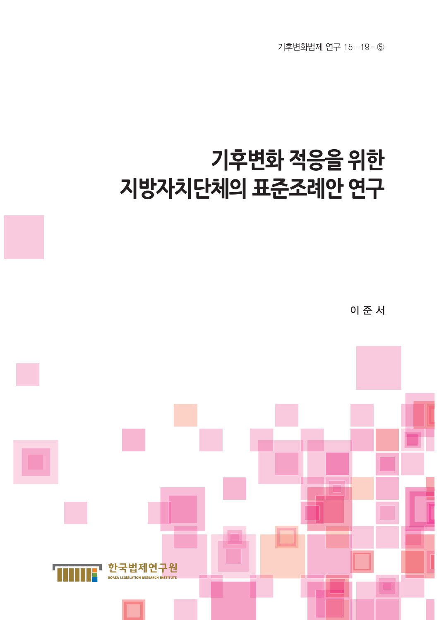기후변화법제 연구 15–19–⑤

# **기후변화 적응을 위한 지방자치단체의 표준조례안 연구**

이 준 서

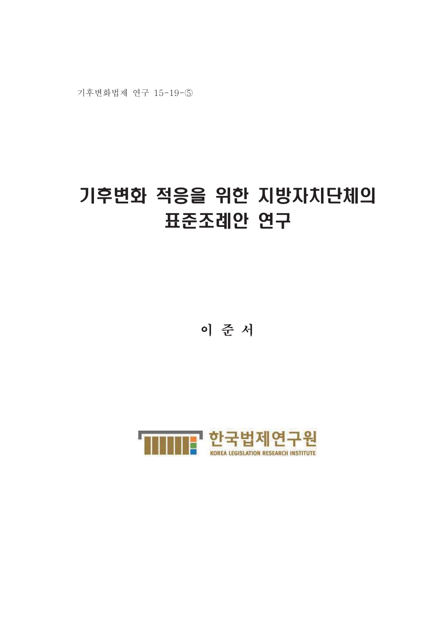# 기후변화 적응을 위한 지방자치단체의 표준조례안 연구

이 준 서

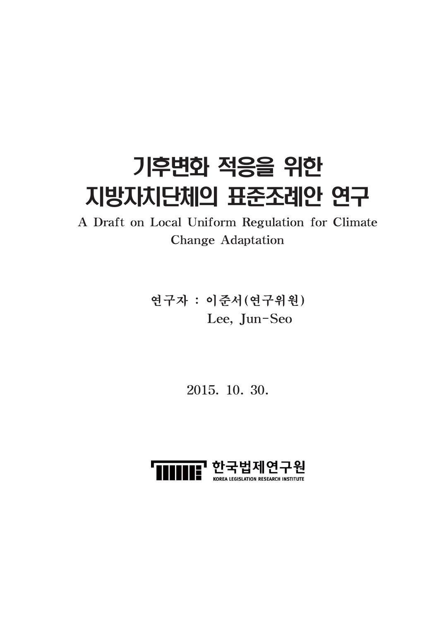# 기후변화 적응을 위한 지방자치단체의 표준조례안 연구

A Draft on Local Uniform Regulation for Climate **Change Adaptation** 

> 연구자 : 이준서(연구위원) Lee, Jun-Seo

> > 2015, 10, 30,

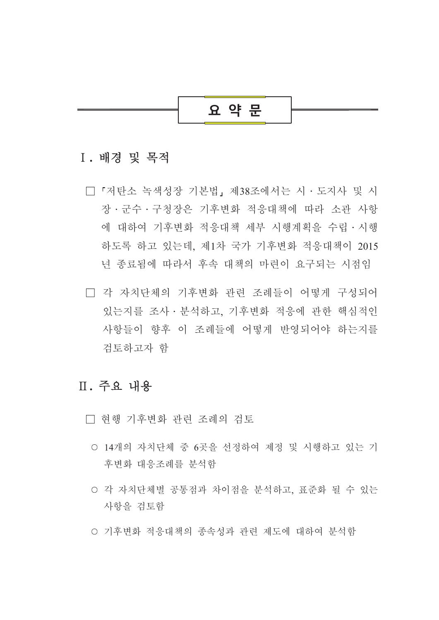

# I. 배경 및 목적

- □ 『저탄소 녹색성장 기본법』제38조에서는 시 도지사 및 시 장 · 군수 · 구청장은 기후변화 적응대책에 따라 소관 사항 에 대하여 기후변화 적응대책 세부 시행계획을 수립 · 시행 하도록 하고 있는데 제1차 국가 기후변화 적응대책이 2015 년 종료됨에 따라서 후속 대책의 마련이 요구되는 시점임
- □ 각 자치단체의 기후변화 관련 조례들이 어떻게 구성되어 있는지를 조사 · 부석하고, 기후변화 적응에 관한 핵심적인 사항들이 향후 이 조례들에 어떻게 반영되어야 하는지를 검토하고자 학

# Ⅱ. 주요 내용

□ 현행 기후변화 관련 조례의 검토

- 14개의 자치단체 중 6곳을 선정하여 제정 및 시행하고 있는 기 후변화 대응조례를 분석함
- 각 자치단체별 공통점과 차이점을 분석하고 표준화 될 수 있는 사항을 검토함
- 기후변화 적응대책의 종속성과 관련 제도에 대하여 분석함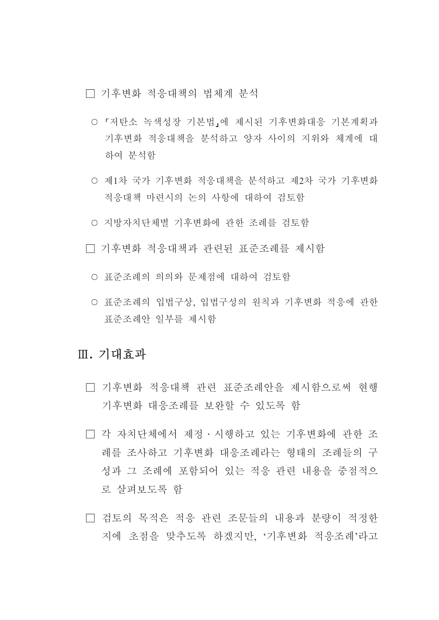□ 기후변화 적응대책의 법체계 부석

- 『저탄소 녹색성장 기본법』에 제시된 기후변화대응 기본계획과 기후변화 적응대책을 분석하고 양자 사이의 지위와 체계에 대 하여 부석함
- 제1차 국가 기후변화 적응대책을 분석하고 제2차 국가 기후변화 적응대책 마련시의 논의 사항에 대하여 검토함
- 지방자치단체별 기후변화에 과하 조례를 검토함
- □ 기후변화 적응대책과 관련된 표준조례를 제시함
	- 표준조례의 의의와 문제점에 대하여 검토함
	- 표준조례의 입법구상, 입법구성의 원칙과 기후변화 적응에 관한 표준조례아 일부를 제시함

# Ⅲ. 기대효과

- □ 기후변화 적응대책 관련 표준조례안을 제시함으로써 현행 기후변화 대응조례를 보완할 수 있도록 함
- □ 각 자치단체에서 제정 시행하고 있는 기후변화에 관한 조 례를 조사하고 기후변화 대응조례라는 형태의 조례들의 구 성과 그 조례에 포함되어 있는 적응 관련 내용을 중점적으 로 살펴보도록 함
- □ 검토의 목적은 적응 관련 조문들의 내용과 분량이 적정한 지에 초점을 맞추도록 하겠지만 '기후변화 적응조례'라고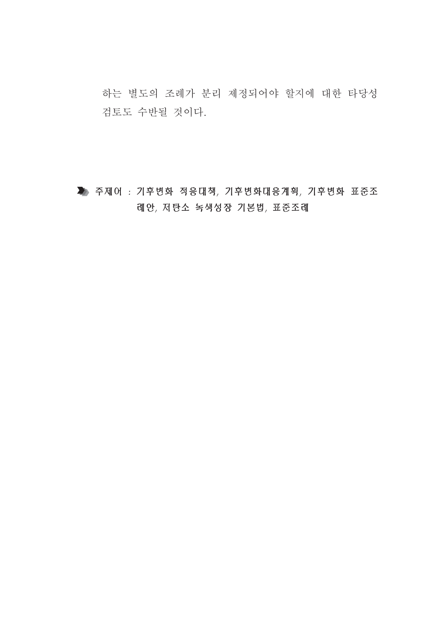하는 별도의 조례가 분리 제정되어야 할지에 대한 타당성 검토도 수반될 것이다.

▶ 주제어 : 기후변화 적응대책, 기후변화대응계획, 기후변화 표준조 례안, 저탄소 녹색성장 기본법, 표준조례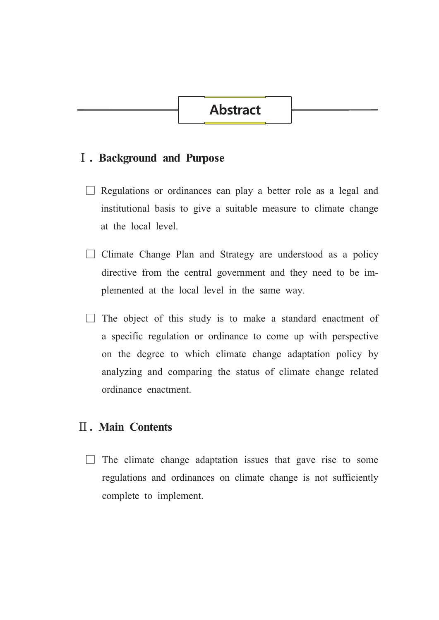# **Abstract**

## **I**. Background and Purpose

- $\Box$  Regulations or ordinances can play a better role as a legal and institutional basis to give a suitable measure to climate change at the local level.
- $\Box$  Climate Change Plan and Strategy are understood as a policy directive from the central government and they need to be implemented at the local level in the same way.
- $\Box$  The object of this study is to make a standard enactment of a specific regulation or ordinance to come up with perspective on the degree to which climate change adaptation policy by analyzing and comparing the status of climate change related ordinance enactment.

## **II. Main Contents**

 $\Box$  The climate change adaptation issues that gave rise to some regulations and ordinances on climate change is not sufficiently complete to implement.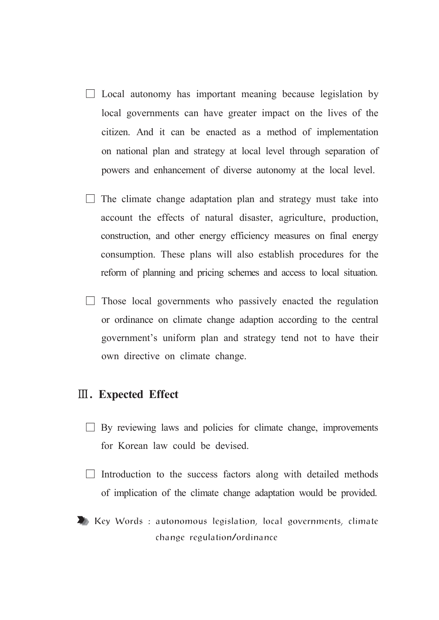- $\Box$  Local autonomy has important meaning because legislation by local governments can have greater impact on the lives of the citizen. And it can be enacted as a method of implementation on national plan and strategy at local level through separation of powers and enhancement of diverse autonomy at the local level.
- $\Box$  The climate change adaptation plan and strategy must take into account the effects of natural disaster, agriculture, production, construction, and other energy efficiency measures on final energy consumption. These plans will also establish procedures for the reform of planning and pricing schemes and access to local situation.
- $\Box$  Those local governments who passively enacted the regulation or ordinance on climate change adaption according to the central government's uniform plan and strategy tend not to have their own directive on climate change.

# **III.** Expected Effect

- $\Box$  By reviewing laws and policies for climate change, improvements for Korean law could be devised.
- $\Box$  Introduction to the success factors along with detailed methods of implication of the climate change adaptation would be provided.
- $\blacktriangleright$  Key Words : autonomous legislation, local governments, climate change regulation/ordinance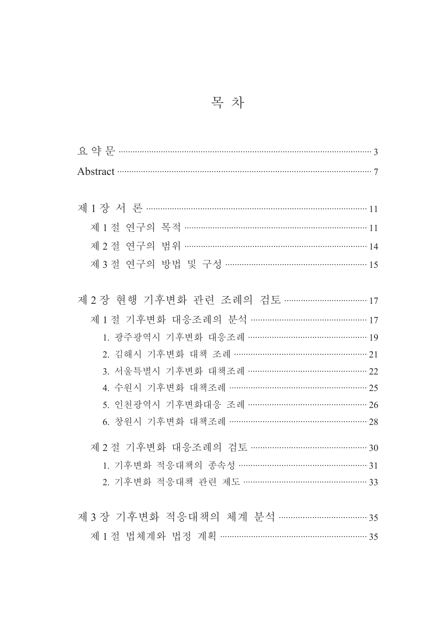목 차

| - A hstract |  |
|-------------|--|

|  |  | 제 2 절 여구의 범위 ………………………………………………………………… 14 |  |  |  |
|--|--|-------------------------------------------|--|--|--|
|  |  | 제 3 절 여구의 방법 및 구성 …………………………………………………… 15 |  |  |  |

| 제 2 장 현행 기후변화 관련 조례의 검토 ……………………………… 17  |
|------------------------------------------|
| 제 1 절 기후변화 대응조례의 분석 ………………………………………… 17  |
| 1. 광주광역시 기후변화 대응조례 ………………………………………… 19   |
| 2. 김해시 기후변화 대책 조례 ……………………………………………… 21  |
| 3. 서울특별시 기후변화 대책조례 ……………………………………… 22    |
| 4. 수원시 기후변화 대책조례 …………………………………………… 25    |
| 5. 인천광역시 기후변화대응 조례 ………………………………………… 26   |
| 6. 창원시 기후변화 대책조례 ……………………………………………… 28   |
| 제 2 절 기후변화 대응조례의 검토 …………………………………………… 30 |
| 1. 기후변화 적응대책의 종속성 ……………………………………………… 31  |
| 2. 기후변화 적응대책 관련 제도 ………………………………………… 33   |
|                                          |
|                                          |

|  |  |  |                                         | --- |
|--|--|--|-----------------------------------------|-----|
|  |  |  | 제 1 절 법체계와 법정 계획 ………………………………………………… 35 |     |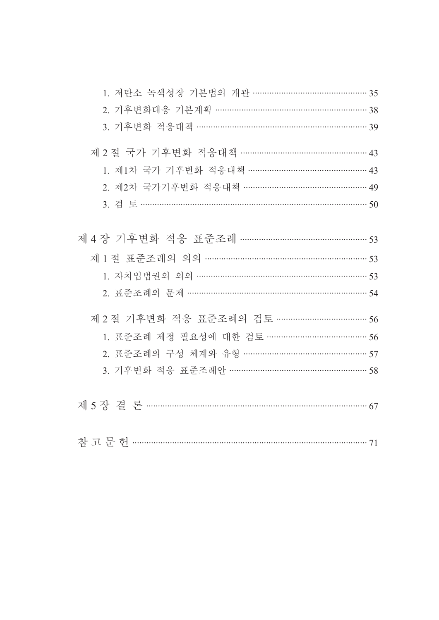| 1. 저탄소 녹색성장 기본법의 개관 ……………………………………… 35     |  |
|--------------------------------------------|--|
| 2. 기후변화대응 기본계획 …………………………………………………… 38     |  |
| 3. 기후변화 적응대책 …………………………………………………………… 39    |  |
| 제 2 절 국가 기후변화 적응대책 ……………………………………………… 43   |  |
| 1. 제1차 국가 기후변화 적응대책 ………………………………………… 43    |  |
| 2. 제2차 국가기후변화 적응대책 …………………………………………… 49    |  |
|                                            |  |
| 제 4 장 기후변화 적응 표준조례 …………………………………………… 53    |  |
|                                            |  |
|                                            |  |
| 1. 자치입법권의 의의 …………………………………………………………… 53    |  |
| 2. 표준조례의 문제 …………………………………………………………… 54     |  |
| 제 2 절 기후변화 적응 표준조례의 검토 ……………………………… 56     |  |
| 1. 표준조례 제정 필요성에 대한 검토 ………………………………… 56     |  |
| 2. 표준조례의 구성 체계와 유형 ………………………………………… 57     |  |
| 3. 기후변화 적응 표준조례안 ……………………………………………… 58     |  |
| 제 5 장 결 론 …………………………………………………………………………… 67 |  |
|                                            |  |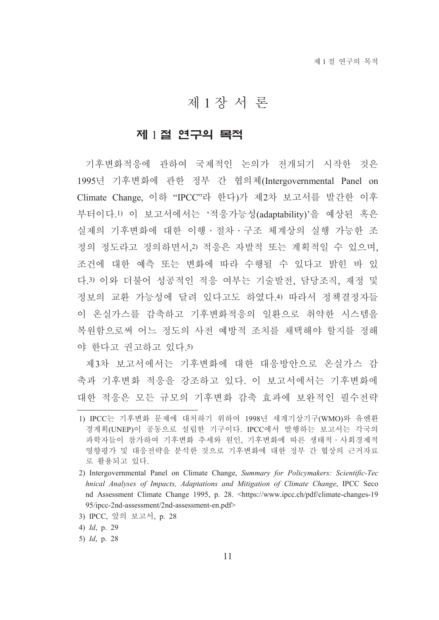# 제 1 장 서 론

### 제 1절 연구의 목적

기후변화적응에 관하여 국제적인 논의가 전개되기 시작한 것은 1995년 기후변화에 관한 정부 간 협의체(Intergovernmental Panel on Climate Change, 이하 "IPCC"라 한다)가 제2차 보고서를 발간한 이후 부터이다.1) 이 보고서에서는 '적응가능성(adaptability)'을 예상된 혹은 실제의 기후변화에 대한 이행 · 절차 · 구조 체계상의 실행 가능한 조 정의 정도라고 정의하면서 2) 적응은 자발적 또는 계획적일 수 있으며. 조건에 대한 예측 또는 변화에 따라 수행될 수 있다고 밝힌 바 있 다.3) 이와 더불어 성공적인 적응 여부는 기술발전, 담당조직, 재정 및 정보의 교환 가능성에 달려 있다고도 하였다.4) 따라서 정책결정자들 이 온실가스를 감축하고 기후변화적응의 일환으로 취약한 시스템을 복워함으로써 어느 정도의 사전 예방적 조치를 채택해야 할지를 정해 야 한다고 권고하고 있다.5)

제3차 보고서에서는 기후변화에 대한 대응방안으로 온실가스 감 축과 기후변화 적응을 강조하고 있다. 이 보고서에서는 기후변화에 대한 적응은 모든 규모의 기후변화 감축 효과에 보완적인 필수전략

5)  $Id$ , p. 28

<sup>1)</sup> IPCC는 기후변화 문제에 대처하기 위하여 1998년 세계기상기구(WMO)와 유엔환 경계획(UNEP)이 공동으로 설립한 기구이다. IPCC에서 발행하는 보고서는 각국의 과학자들이 참가하여 기후변화 추세와 워인, 기후변화에 따른 생태적 · 사회경제적 영향평가 및 대응전략을 분석한 것으로 기후변화에 대한 정부 간 협상의 근거자료 로 활용되고 있다.

<sup>2)</sup> Intergovernmental Panel on Climate Change, Summary for Policymakers: Scientific-Tec hnical Analyses of Impacts, Adaptations and Mitigation of Climate Change, IPCC Seco nd Assessment Climate Change 1995, p. 28. <https://www.ipcc.ch/pdf/climate-changes-19 95/ipcc-2nd-assessment/2nd-assessment-en.pdf>

<sup>3)</sup> IPCC, 앞의 보고서, p. 28

<sup>4)</sup>  $Id$ , p. 29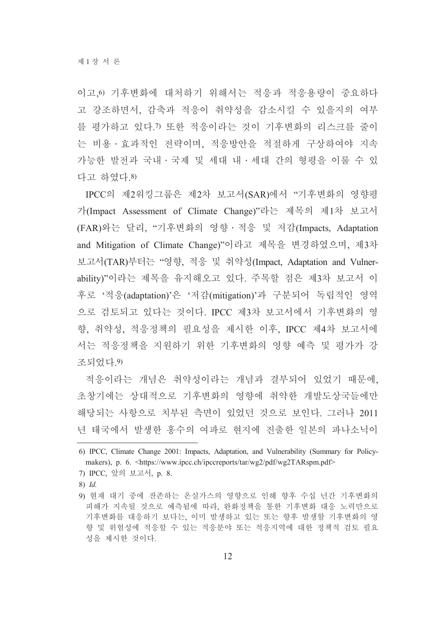이고, 이기후변화에 대처하기 위해서는 적응과 적응용량이 중요하다 고 강조하면서, 감축과 적응이 취약성을 감소시킬 수 있을지의 여부 를 평가하고 있다.7) 또한 적응이라는 것이 기후변화의 리스크를 줄이 는 비용 · 효과적인 전략이며, 적응방안을 적절하게 구상하여야 지속 가능한 발전과 국내 · 국제 및 세대 내 · 세대 간의 형평을 이룰 수 있 다고 하였다.8)

IPCC의 제2워킹그룹은 제2차 보고서(SAR)에서 "기후변화의 영향평 가(Impact Assessment of Climate Change)"라는 제목의 제1차 보고서 (FAR)와는 달리, "기후변화의 영향 · 적응 및 저감(Impacts, Adaptation and Mitigation of Climate Change)"이라고 제목을 변경하였으며, 제3차 보고서(TAR)부터는 "영향, 적응 및 취약성(Impact, Adaptation and Vulnerability)"이라는 제목을 유지해오고 있다. 주목할 점은 제3차 보고서 이 후로 '적응(adaptation)'은 '저감(mitigation)'과 구분되어 독립적인 영역 으로 검토되고 있다는 것이다. IPCC 제3차 보고서에서 기후변화의 영 향, 취약성, 적응정책의 필요성을 제시한 이후, IPCC 제4차 보고서에 서는 적응정책을 지워하기 위한 기후변화의 영향 예측 및 평가가 강 조되었다. 9)

적응이라는 개념은 취약성이라는 개념과 결부되어 있었기 때문에, 초창기에는 상대적으로 기후변화의 영향에 취약한 개발도상국들에만 해당되는 사항으로 치부된 측면이 있었던 것으로 보인다. 그러나 2011 년 태국에서 발생한 홍수의 여파로 현지에 진출한 일본의 파나소닉이

8) Id.

<sup>6)</sup> IPCC, Climate Change 2001: Impacts, Adaptation, and Vulnerability (Summary for Policymakers), p. 6. <https://www.ipcc.ch/ipccreports/tar/wg2/pdf/wg2TARspm.pdf>

<sup>7)</sup> IPCC, 앞의 보고서, p. 8.

<sup>9)</sup> 현재 대기 중에 잔존하는 온실가스의 영향으로 인해 향후 수십 년간 기후변화의 피해가 지속될 것으로 예측됨에 따라. 완화정책을 통한 기후변화 대응 노력만으로 기후변화를 대응하기 보다는, 이미 발생하고 있는 또는 향후 발생할 기후변화의 영 향 및 위험성에 적응할 수 있는 적응분야 또는 적응지역에 대한 정책적 검토 필요 성을 제시한 것이다.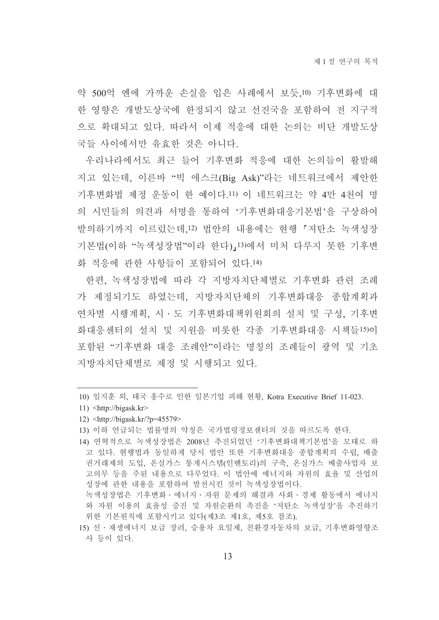약 500억 엔에 가까운 손실을 입은 사례에서 보듯.10) 기후변화에 대 한 영향은 개발도상국에 한정되지 않고 선진국을 포함하여 전 지구적 으로 확대되고 있다. 따라서 이제 적응에 대한 논의는 비단 개발도상 국들 사이에서만 유효한 것은 아니다.

우리나라에서도 최근 들어 기후변화 적응에 대한 논의들이 활발해 지고 있는데, 이른바 "빅 애스크(Big Ask)"라는 네트워크에서 제안한 기후변화법 제정 운동이 한 예이다.11) 이 네트워크는 약 4만 4천여 명 의 시민들의 의견과 서명을 통하여 '기후변화대응기본법'을 구상하여 발의하기까지 이르렀는데 12) 법안의 내용에는 현행 『저탄소 녹색성장 기본법(이하 "녹색성장법"이라 한다), 13)에서 미처 다루지 못한 기후변 화 적응에 관한 사항들이 포함되어 있다.14)

한편 녹색성장법에 따라 각 지방자치단체별로 기후변화 관련 조례 가 제정되기도 하였는데, 지방자치단체의 기후변화대응 종합계획과 연차별 시행계획, 시 · 도 기후변화대책위원회의 설치 및 구성, 기후변 화대응센터의 설치 및 지원을 비롯한 각종 기후변화대응 시책들15)이 포함된 "기후변화 대응 조례안"이라는 명칭의 조례들이 광역 및 기초 지방자치단체별로 제정 및 시행되고 있다.

- $11)$  <http://bigask.kr>
- 12) <http://bigask.kr/?p=45579>
- 13) 이하 언급되는 법률명의 약칭은 국가법령정보센터의 것을 따르도록 한다.
- 14) 연혁적으로 녹색성장법은 2008년 추진되었던 '기후변화대책기본법'을 모태로 하 고 있다. 현행법과 동일하게 당시 법안 또한 기후변화대응 종합계획의 수립. 배출 권거래제의 도입, 온실가스 통계시스템(인벤토리)의 구축, 온실가스 배출사업자 보 고의무 등을 주된 내용으로 다루었다. 이 법안에 에너지와 자원의 효율 및 산업의 성장에 관한 내용을 포함하여 발전시킨 것이 녹색성장법이다. 녹색성장법은 기후변화 · 에너지 · 자원 문제의 해결과 사회 · 경제 활동에서 에너지
- 와 자원 이용의 효율성 증진 및 자원순환의 촉진을 '저탄소 녹색성장'을 추진하기 위한 기본원칙에 포함시키고 있다(제3조 제1호, 제5호 참조). 15) 신 · 재생에너지 보급 장려, 승용차 요일제, 친환경자동차의 보급, 기후변화영향조
	- 사 등이 있다.

<sup>10)</sup> 임지훈 외, 태국 홍수로 인한 일본기업 피해 현황, Kotra Executive Brief 11-023.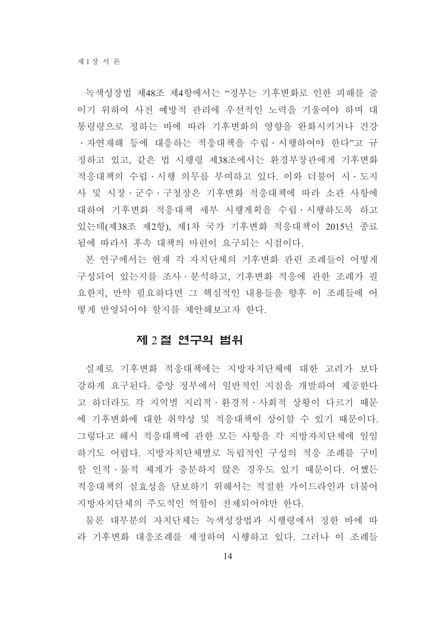녹색성장법 제48조 제4항에서는 "정부는 기후변화로 인한 피해를 줄 이기 위하여 사전 예방적 관리에 우선적인 노력을 기울여야 하며 대 통령령으로 정하는 바에 따라 기후변화의 영향을 완화시키거나 건강 ·자연재해 등에 대응하는 적응대책을 수립·시행하여야 한다"고 규 정하고 있고, 같은 법 시행령 제38조에서는 환경부장관에게 기후변화 적응대책의 수립 · 시행 의무를 부여하고 있다. 이와 더불어 시 · 도지 사 및 시장 · 군수 · 구청장은 기후변화 적응대책에 따라 소관 사항에 대하여 기후변화 적응대책 세부 시행계획을 수립 · 시행하도록 하고 있는데(제38조 제2항), 제1차 국가 기후변화 적응대책이 2015년 종료 됨에 따라서 후속 대책의 마련이 요구되는 시점이다.

본 연구에서는 현재 각 자치단체의 기후변화 관련 조례들이 어떻게 구성되어 있는지를 조사·분석하고, 기후변화 적응에 관한 조례가 필 요한지, 만약 필요하다면 그 핵심적인 내용들을 향후 이 조례들에 어 떻게 반영되어야 할지를 제안해보고자 한다.

## 제 2절 연구의 범위

실제로 기후변화 적응대책에는 지방자치단체에 대한 고려가 보다 강하게 요구된다. 중앙 정부에서 일반적인 지침을 개발하여 제공한다 고 하더라도 각 지역별 지리적·환경적·사회적 상황이 다르기 때문 에 기후변화에 대한 취약성 및 적응대책이 상이할 수 있기 때문이다. 그렇다고 해서 적응대책에 관한 모든 사항을 각 지방자치단체에 일임 하기도 어렵다. 지방자치단체별로 독립적인 구성의 적응 조례를 구비 할 인적·물적 체계가 충분하지 않은 경우도 있기 때문이다. 어쨌든 적응대책의 실효성을 담보하기 위해서는 적절한 가이드라인과 더불어 지방자치단체의 주도적인 역할이 전제되어야만 한다.

물론 대부분의 자치단체는 녹색성장법과 시행령에서 정한 바에 따 라 기후변화 대응조례를 제정하여 시행하고 있다. 그러나 이 조례들

14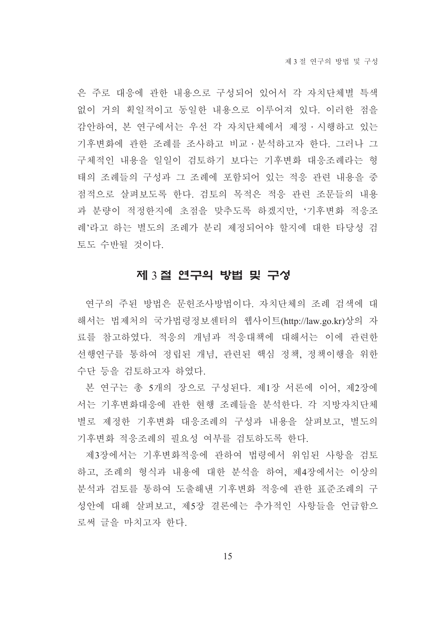은 주로 대응에 관한 내용으로 구성되어 있어서 각 자치단체별 특색 없이 거의 획일적이고 동일한 내용으로 이루어져 있다. 이러한 점을 감안하여, 본 연구에서는 우선 각 자치단체에서 제정 · 시행하고 있는 기후변화에 관한 조례를 조사하고 비교 · 분석하고자 한다. 그러나 그 구체적인 내용을 일일이 검토하기 보다는 기후변화 대응조례라는 형 태의 조례들의 구성과 그 조례에 포함되어 있는 적응 관련 내용을 중 점적으로 살펴보도록 한다. 검토의 목적은 적응 관련 조문들의 내용 과 분량이 적정한지에 초점을 맞추도록 하겠지만, '기후변화 적응조 례'라고 하는 별도의 조례가 분리 제정되어야 할지에 대한 타당성 검 토도 수반될 것이다.

## 제 3절 연구의 방법 및 구성

연구의 주된 방법은 문헌조사방법이다. 자치단체의 조례 검색에 대 해서는 법제처의 국가법령정보센터의 웹사이트(http://law.go.kr)상의 자 료를 참고하였다. 적응의 개념과 적응대책에 대해서는 이에 관련한 선행연구를 통하여 정립된 개념, 관련된 핵심 정책, 정책이행을 위한 수단 등을 검토하고자 하였다.

본 연구는 총 5개의 장으로 구성된다. 제1장 서론에 이어, 제2장에 서는 기후변화대응에 관한 현행 조례들을 분석한다. 각 지방자치단체 별로 제정한 기후변화 대응조례의 구성과 내용을 살펴보고, 별도의 기후변화 적응조례의 필요성 여부를 검토하도록 한다.

제3장에서는 기후변화적응에 관하여 법령에서 위임된 사항을 검토 하고, 조례의 형식과 내용에 대한 부석을 하여, 제4장에서는 이상의 분석과 검토를 통하여 도출해낸 기후변화 적응에 관한 표준조례의 구 성안에 대해 살펴보고, 제5장 결론에는 추가적인 사항들을 언급함으 로써 글을 마치고자 한다.

15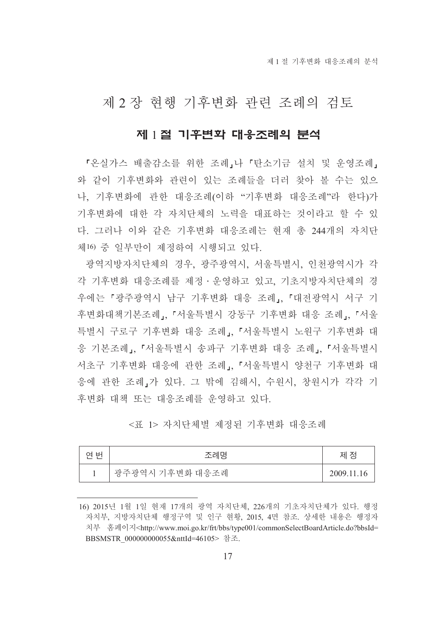# 제 2 장 현행 기후변화 관련 조례의 검토

## 제 1절 기후변화 대응조례의 분석

「온실가스 배출감소를 위한 조례」나 「탄소기금 설치 및 운영조례」 와 같이 기후변화와 관련이 있는 조례들을 더러 찾아 볼 수는 있으 나, 기후변화에 관한 대응조례(이하"기후변화 대응조례"라 한다)가 기후변화에 대한 각 자치단체의 노력을 대표하는 것이라고 할 수 있 다. 그러나 이와 같은 기후변화 대응조례는 현재 총 244개의 자치단 체16) 중 일부만이 제정하여 시행되고 있다.

광역지방자치단체의 경우, 광주광역시, 서울특별시, 인천광역시가 각 각 기후변화 대응조례를 제정 · 운영하고 있고, 기초지방자치단체의 경 우에는 『광주광역시 남구 기후변화 대응 조례』, 『대전광역시 서구 기 후변화대책기본조례」, 「서울특별시 강동구 기후변화 대응 조례」, 「서울 특별시 구로구 기후변화 대응 조례,. 「서울특별시 노원구 기후변화 대 응 기본조례」, 「서울특별시 송파구 기후변화 대응 조례」, 「서울특별시 서초구 기후변화 대응에 관한 조례」, 「서울특별시 양천구 기후변화 대 응에 관한 조례」가 있다. 그 밖에 김해시, 수원시, 창원시가 각각 기 후변화 대책 또는 대응조례를 운영하고 있다.

<표 1> 자치다체별 제정된 기후변화 대응조례

| 여버 | 조례명             | 제 정        |
|----|-----------------|------------|
|    | 광주광역시 기후변화 대응조례 | 2009.11.16 |

<sup>16) 2015</sup>년 1월 1일 현재 17개의 광역 자치단체, 226개의 기초자치단체가 있다. 행정 자치부, 지방자치단체 행정구역 및 인구 현황, 2015, 4면 참조. 상세한 내용은 행정자 치부 홈페이지<http://www.moi.go.kr/frt/bbs/type001/commonSelectBoardArticle.do?bbsId= BBSMSTR 000000000055&nttId=46105>참조.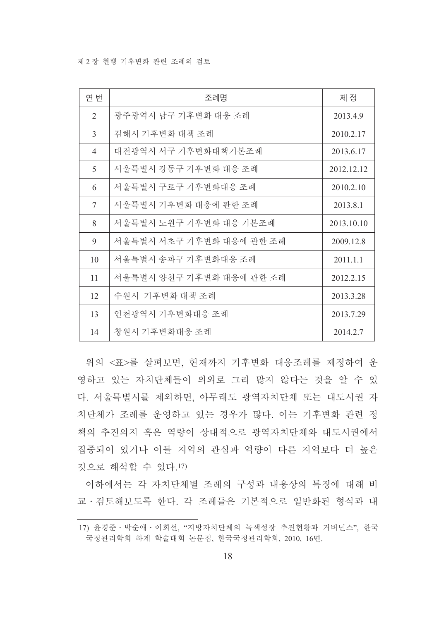| 연 번            | 조례명                      | 제 정        |
|----------------|--------------------------|------------|
| $\overline{2}$ | 광주광역시 남구 기후변화 대응 조례      | 2013.4.9   |
| 3              | 김해시 기후변화 대책 조례           | 2010.2.17  |
| $\overline{4}$ | 대전광역시 서구 기후변화대책기본조례      | 2013.6.17  |
| 5              | 서울특별시 강동구 기후변화 대응 조례     | 2012.12.12 |
| 6              | 서울특별시 구로구 기후변화대응 조례      | 2010.2.10  |
| 7              | 서울특별시 기후변화 대응에 관한 조례     | 2013.8.1   |
| 8              | 서울특별시 노원구 기후변화 대응 기본조례   | 2013.10.10 |
| 9              | 서울특별시 서초구 기후변화 대응에 관한 조례 | 2009.12.8  |
| 10             | 서울특별시 송파구 기후변화대응 조례      | 2011.1.1   |
| 11             | 서울특별시 양천구 기후변화 대응에 관한 조례 | 2012.2.15  |
| 12             | 수원시 기후변화 대책 조례           | 2013.3.28  |
| 13             | 인천광역시 기후변화대응 조례          | 2013.7.29  |
| 14             | 창원시 기후변화대응 조례            | 2014.2.7   |

위의 <표>를 살펴보면, 현재까지 기후변화 대응조례를 제정하여 운 영하고 있는 자치단체들이 의외로 그리 많지 않다는 것을 알 수 있 다. 서울특별시를 제외하면, 아무래도 광역자치단체 또는 대도시권 자 치단체가 조례를 운영하고 있는 경우가 많다. 이는 기후변화 관련 정 책의 추진의지 혹은 역량이 상대적으로 광역자치단체와 대도시권에서 집중되어 있거나 이들 지역의 관심과 역량이 다른 지역보다 더 높은 것으로 해석할 수 있다.17)

이하에서는 각 자치단체별 조례의 구성과 내용상의 특징에 대해 비 교 · 검토해보도록 한다. 각 조례들은 기본적으로 일반화된 형식과 내

<sup>17)</sup> 윤경준 · 박순애 · 이희선, "지방자치단체의 녹색성장 추진현황과 거버넌스", 한국 국정관리학회 하계 학술대회 논문집, 한국국정관리학회, 2010, 16면.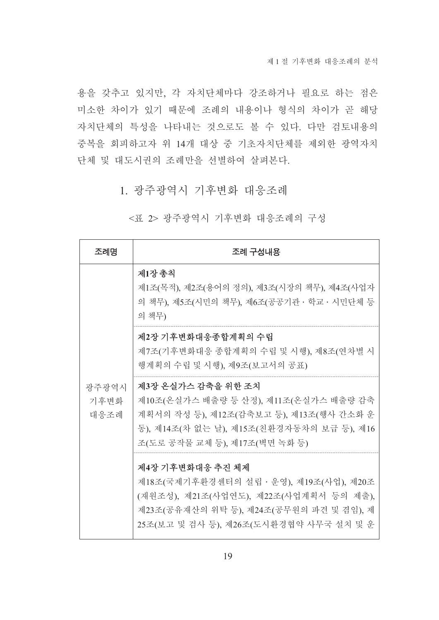제 1 절 기후변화 대응조례의 분석

용을 갖추고 있지만, 각 자치단체마다 강조하거나 필요로 하는 점은 미소한 차이가 있기 때문에 조례의 내용이나 형식의 차이가 곧 해당 자치단체의 특성을 나타내는 것으로도 볼 수 있다. 다만 검토내용의 중복을 회피하고자 위 14개 대상 중 기초자치단체를 제외한 광역자치 단체 및 대도시권의 조례만을 선별하여 살펴본다.

# 1. 광주광역시 기후변화 대응조례

#### <표 2> 광주광역시 기후변화 대응조례의 구성

| 조례명                   | 조례 구성내용                                                                                                                                                                                    |
|-----------------------|--------------------------------------------------------------------------------------------------------------------------------------------------------------------------------------------|
| 광주광역시<br>기후변화<br>대응조례 | 제1장 총칙<br>제1조(목적), 제2조(용어의 정의), 제3조(시장의 책무), 제4조(사업자<br>의 책무), 제5조(시민의 책무), 제6조(공공기관 · 학교 · 시민단체 등<br>의 책무)                                                                                |
|                       | 제2장 기후변화대응종합계획의 수립<br>제7조(기후변화대응 종합계획의 수립 및 시행), 제8조(연차별 시<br>행계획의 수립 및 시행), 제9조(보고서의 공표)                                                                                                  |
|                       | 제3장 온실가스 감축을 위한 조치<br>제10조(온실가스 배출량 등 산정), 제11조(온실가스 배출량 감축<br>계획서의 작성 등), 제12조(감축보고 등), 제13조(행사 간소화 운<br>동), 제14조(차 없는 날), 제15조(친환경자동차의 보급 등), 제16<br>조(도로 공작물 교체 등), 제17조(벽면 녹화 등)       |
|                       | 제4장 기후변화대응 추진 체제<br>제18조(국제기후환경센터의 설립 · 운영), 제19조(사업), 제20조<br>(재원조성), 제21조(사업연도), 제22조(사업계획서 등의 제출),<br>제23조(공유재산의 위탁 등), 제24조(공무원의 파견 및 겸임), 제<br>25조(보고 및 검사 등), 제26조(도시환경협약 사무국 설치 및 운 |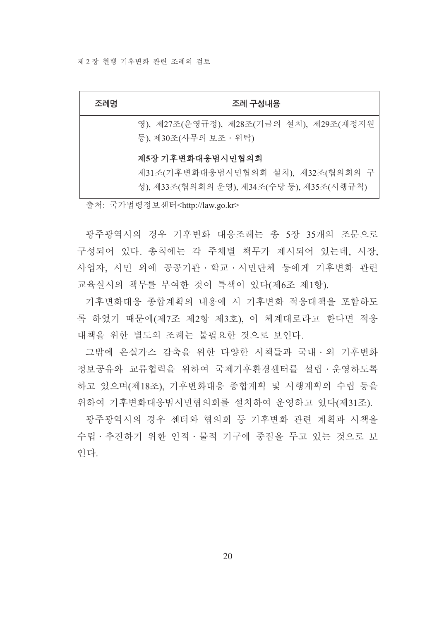제 2장 현행 기후변화 관련 조례의 검토

| 조례명 | 조례 구성내용                                                                                             |
|-----|-----------------------------------------------------------------------------------------------------|
|     | 영), 제27조(운영규정), 제28조(기금의 설치), 제29조(재정지원<br>등), 제30조(사무의 보조 · 위탁)                                    |
|     | 제5장 기후변화대응범시민협의회<br>제31조(기후변화대응범시민협의회 설치), 제32조(협의회의 구<br>성), 제33조(협의회의 운영), 제34조(수당 등), 제35조(시행규칙) |

출처: 국가법령정보센터<http://law.go.kr>

광주광역시의 경우 기후변화 대응조례는 총 5장 35개의 조문으로 구성되어 있다. 총칙에는 각 주체별 책무가 제시되어 있는데, 시장, 사업자, 시민 외에 공공기관 • 학교 • 시민단체 등에게 기후변화 관련 교육실시의 책무를 부여한 것이 특색이 있다(제6조 제1항).

기후변화대응 종합계획의 내용에 시 기후변화 적응대책을 포함하도 록 하였기 때문에(제7조 제2항 제3호). 이 체계대로라고 한다면 적응 대책을 위한 별도의 조례는 불필요한 것으로 보인다.

그밖에 온실가스 감축을 위한 다양한 시책들과 국내 · 외 기후변화 정보공유와 교류협력을 위하여 국제기후환경센터를 설립 · 운영하도록 하고 있으며(제18조). 기후변화대응 종합계획 및 시행계획의 수립 등을 위하여 기후변화대응범시민협의회를 설치하여 운영하고 있다(제31조).

광주광역시의 경우 센터와 협의회 등 기후변화 관련 계획과 시책을 수립 · 추진하기 위한 인적 · 물적 기구에 중점을 두고 있는 것으로 보 인다.

20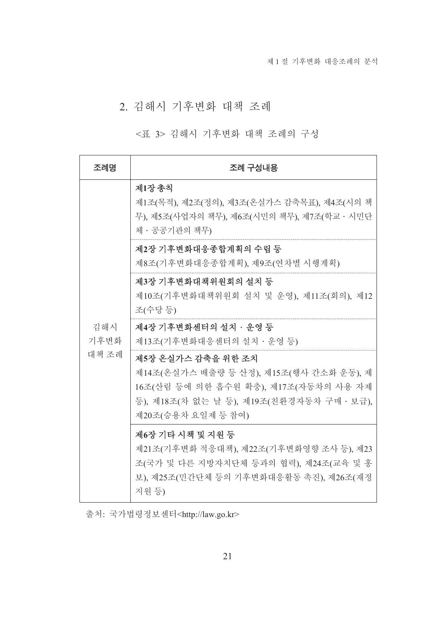# 2. 김해시 기후변화 대책 조례

# <표 3> 김해시 기후변화 대책 조례의 구성

| 조례명         | 조례 구성내용                                                                                                                                                                   |
|-------------|---------------------------------------------------------------------------------------------------------------------------------------------------------------------------|
|             | 제1장 총칙<br>제1조(목적), 제2조(정의), 제3조(온실가스 감축목표), 제4조(시의 책<br>무), 제5조(사업자의 책무), 제6조(시민의 책무), 제7조(학교 • 시민단<br>체 · 공공기관의 책무)                                                      |
|             | 제2장 기후변화대응종합계획의 수립 등<br>제8조(기후변화대응종합계획), 제9조(연차별 시행계획)                                                                                                                    |
|             | 제3장 기후변화대책위원회의 설치 등<br>제10조(기후변화대책위원회 설치 및 운영), 제11조(회의), 제12<br>조(수당 등)                                                                                                  |
| 김해시<br>기후변화 | 제4장 기후변화센터의 설치 · 운영 등<br>제13조(기후변화대응센터의 설치 · 운영 등)                                                                                                                        |
| 대책 조례       | 제5장 온실가스 감축을 위한 조치<br>제14조(온실가스 배출량 등 산정), 제15조(행사 간소화 운동), 제<br>16조(산림 등에 의한 흡수원 확충), 제17조(자동차의 사용 자제<br>등), 제18조(차 없는 날 등), 제19조(친환경자동차 구매 · 보급),<br>제20조(승용차 요일제 등 참여) |
|             | 제6장 기타 시책 및 지원 등<br>제21조(기후변화 적응대책), 제22조(기후변화영향 조사 등), 제23<br>조(국가 및 다른 지방자치단체 등과의 협력), 제24조(교육 및 홍<br>보), 제25조(민간단체 등의 기후변화대응활동 촉진), 제26조(재정<br>지원 등)                   |

출처: 국가법령정보센터<http://law.go.kr>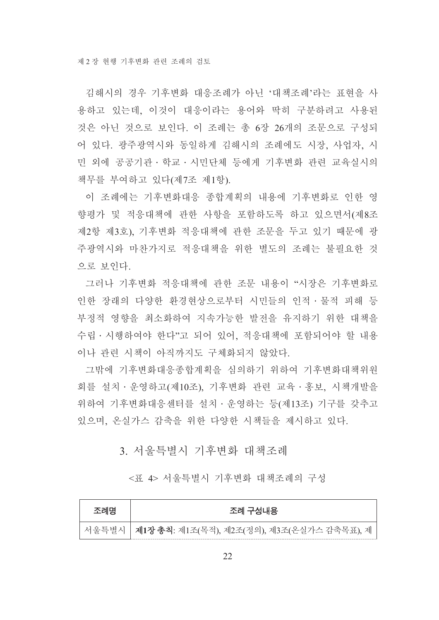김해시의 경우 기후변화 대응조례가 아닌 '대책조례'라는 표현을 사 용하고 있는데. 이것이 대응이라는 용어와 딱히 구부하려고 사용된 것은 아닌 것으로 보인다. 이 조례는 총 6장 26개의 조문으로 구성되 어 있다. 광주광역시와 동일하게 김해시의 조례에도 시장, 사업자, 시 민 외에 공공기관·학교·시민단체 등에게 기후변화 관련 교육실시의 책무를 부여하고 있다(제7조 제1항).

이 조례에는 기후변화대응 종합계획의 내용에 기후변화로 인한 영 향평가 및 적응대책에 관한 사항을 포함하도록 하고 있으면서(제8조 제2항 제3호). 기후변화 적응대책에 관한 조문을 두고 있기 때문에 광 주광역시와 마차가지로 적응대책을 위한 별도의 조례는 불필요한 것 으로 보인다.

그러나 기후변화 적응대책에 관한 조문 내용이 "시장은 기후변화로 인한 장래의 다양한 화경현상으로부터 시민들의 인적 · 물적 피해 등 부정적 영향을 최소화하여 지속가능한 발전을 유지하기 위한 대책을 수립 · 시행하여야 한다"고 되어 있어. 적응대책에 포함되어야 할 내용 이나 과려 시책이 아직까지도 구체화되지 않았다.

그밖에 기후변화대응종합계획을 심의하기 위하여 기후변화대책위원 회를 설치 · 유영하고(제10조). 기후변화 관련 교육 · 홍보. 시책개발을 위하여 기후변화대응센터를 설치·운영하는 등(제13조) 기구를 갖추고 있으며, 온실가스 감축을 위한 다양한 시책들을 제시하고 있다.

# 3. 서울특별시 기후변화 대책조례

<표 4> 서울특별시 기후변화 대책조례의 구성

| 조례명 | 조례 구성내용                                                     |
|-----|-------------------------------------------------------------|
|     | 서울특별시   <b>제1장 총칙</b> : 제1조(목적), 제2조(정의), 제3조(온실가스 감축목표), 제 |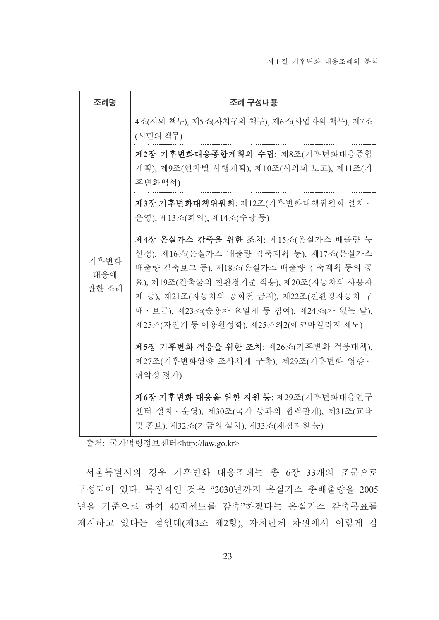| 조례명                  | 조례 구성내용                                                                                                                                                                                                                                                                                        |
|----------------------|------------------------------------------------------------------------------------------------------------------------------------------------------------------------------------------------------------------------------------------------------------------------------------------------|
| 기후변화<br>대응에<br>관한 조례 | 4조(시의 책무), 제5조(자치구의 책무), 제6조(사업자의 책무), 제7조<br>(시민의 책무)                                                                                                                                                                                                                                         |
|                      | 제2장 기후변화대응종합계획의 수립: 제8조(기후변화대응종합<br>계획), 제9조(연차별 시행계획), 제10조(시의회 보고), 제11조(기<br>후변화백서)                                                                                                                                                                                                         |
|                      | 제3장 기후변화대책위원회: 제12조(기후변화대책위원회 설치 ·<br>운영), 제13조(회의), 제14조(수당 등)                                                                                                                                                                                                                                |
|                      | 제4장 온실가스 감축을 위한 조치: 제15조(온실가스 배출량 등<br>산정), 제16조(온실가스 배출량 감축계획 등), 제17조(온실가스<br>배출량 감축보고 등), 제18조(온실가스 배출량 감축계획 등의 공<br>표), 제19조(건축물의 친환경기준 적용), 제20조(자동차의 사용자<br>제 등), 제21조(자동차의 공회전 금지), 제22조(친환경자동차 구<br>매 · 보급), 제23조(승용차 요일제 등 참여), 제24조(차 없는 날),<br>제25조(자전거 등 이용활성화), 제25조의2(에코마일리지 제도) |
|                      | 제5장 기후변화 적응을 위한 조치: 제26조(기후변화 적응대책),<br>제27조(기후변화영향 조사체계 구축), 제29조(기후변화 영향 ·<br>취약성 평가)                                                                                                                                                                                                        |
|                      | 제6장 기후변화 대응을 위한 지원 등: 제29조(기후변화대응연구<br>센터 설치 · 운영), 제30조(국가 등과의 협력관계), 제31조(교육<br>및 홍보), 제32조(기금의 설치), 제33조(재정지원 등)                                                                                                                                                                            |

서울특별시의 경우 기후변화 대응조례는 총 6장 33개의 조문으로 구성되어 있다. 특징적인 것은 "2030년까지 온실가스 총배출량을 2005 년을 기준으로 하여 40퍼센트를 감축"하겠다는 온실가스 감축목표를 제시하고 있다는 점인데(제3조 제2항), 자치단체 차원에서 이렇게 감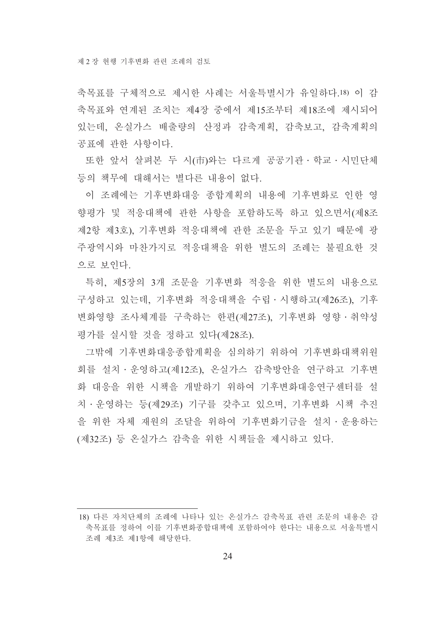축목표를 구체적으로 제시한 사례는 서울특별시가 유일하다.18) 이 감 축목표와 연계된 조치는 제4장 중에서 제15조부터 제18조에 제시되어 있는데, 온실가스 배출량의 산정과 감축계획, 감축보고, 감축계획의 공표에 관한 사항이다.

또한 앞서 살펴본 두 시(市)와는 다르게 공공기관 · 학교 · 시민단체 등의 책무에 대해서는 별다른 내용이 없다.

이 조례에는 기후변화대응 종합계획의 내용에 기후변화로 인한 영 향평가 및 적응대책에 관한 사항을 포함하도록 하고 있으면서(제8조 제2항 제3호). 기후변화 적응대책에 관한 조문을 두고 있기 때문에 광 주광역시와 마찬가지로 적응대책을 위한 별도의 조례는 불필요한 것 으로 보인다.

특히, 제5장의 3개 조문을 기후변화 적응을 위한 별도의 내용으로 구성하고 있는데, 기후변화 적응대책을 수립 · 시행하고(제26조), 기후 변화영향 조사체계를 구축하는 한편(제27조), 기후변화 영향·취약성 평가를 실시할 것을 정하고 있다(제28조).

그밖에 기후변화대응종합계획을 심의하기 위하여 기후변화대책위워 회를 설치 · 운영하고(제12조), 온실가스 감축방안을 연구하고 기후변 화 대응을 위한 시책을 개발하기 위하여 기후변화대응연구센터를 설 치·운영하는 등(제29조) 기구를 갖추고 있으며, 기후변화 시책 추진 을 위한 자체 재원의 조달을 위하여 기후변화기금을 설치·운용하는 (제32조) 등 온실가스 감축을 위한 시책들을 제시하고 있다.

<sup>18)</sup> 다른 자치단체의 조례에 나타나 있는 온실가스 감축목표 관련 조문의 내용은 감 축목표를 정하여 이를 기후변화종합대책에 포함하여야 한다는 내용으로 서울특별시 조례 제3조 제1항에 해당한다.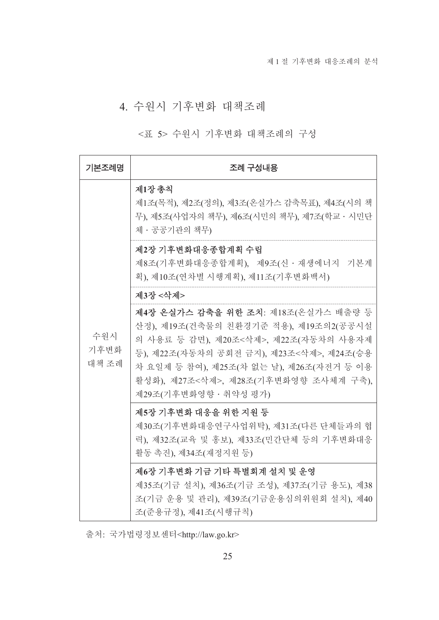# 4. 수원시 기후변화 대책조례

<표 5> 수원시 기후변화 대책조례의 구성

| 기본조례명                | 조례 구성내용                                                                                                                                                                                                                                                                         |  |
|----------------------|---------------------------------------------------------------------------------------------------------------------------------------------------------------------------------------------------------------------------------------------------------------------------------|--|
|                      | 제1장 총칙<br>제1조(목적), 제2조(정의), 제3조(온실가스 감축목표), 제4조(시의 책<br>무), 제5조(사업자의 책무), 제6조(시민의 책무), 제7조(학교 · 시민단<br>체 · 공공기관의 책무)                                                                                                                                                            |  |
|                      | 제2장 기후변화대응종합계획 수립<br>제8조(기후변화대응종합계획), 제9조(신·재생에너지 기본계<br>획), 제10조(연차별 시행계획), 제11조(기후변화백서)                                                                                                                                                                                       |  |
|                      | 제3장 <삭제>                                                                                                                                                                                                                                                                        |  |
| 수원시<br>기후변화<br>대책 조례 | 제4장 온실가스 감축을 위한 조치: 제18조(온실가스 배출량 등<br>산정), 제19조(건축물의 친환경기준 적용), 제19조의2(공공시설<br>의 사용료 등 감면), 제20조<삭제>, 제22조(자동차의 사용자제<br>등), 제22조(자동차의 공회전 금지), 제23조<삭제>, 제24조(승용<br>차 요일제 등 참여), 제25조(차 없는 날), 제26조(자전거 등 이용<br>활성화), 제27조<삭제>, 제28조(기후변화영향 조사체계 구축),<br>제29조(기후변화영향 · 취약성 평가) |  |
|                      | 제5장 기후변화 대응을 위한 지원 등<br>제30조(기후변화대응연구사업위탁), 제31조(다른 단체들과의 협<br>력), 제32조(교육 및 홍보), 제33조(민간단체 등의 기후변화대응<br>활동 촉진), 제34조(재정지원 등)                                                                                                                                                   |  |
|                      | 제6장 기후변화 기금 기타 특별회계 설치 및 운영<br>제35조(기금 설치), 제36조(기금 조성), 제37조(기금 용도), 제38<br>조(기금 운용 및 관리), 제39조(기금운용심의위원회 설치), 제40<br>조(준용규정), 제41조(시행규칙)                                                                                                                                      |  |

출처: 국가법령정보센터<http://law.go.kr>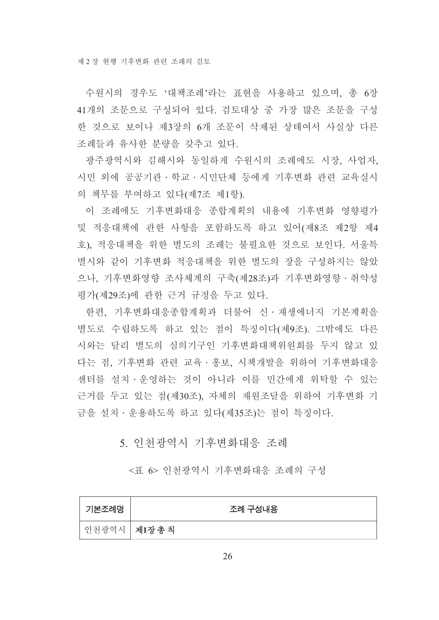수원시의 경우도 '대책조례'라는 표현을 사용하고 있으며, 총 6장 41개의 조문으로 구성되어 있다. 검토대상 중 가장 많은 조문을 구성 한 것으로 보이나 제3장의 6개 조문이 삭제된 상태여서 사실상 다른 조례들과 유사한 분량을 갖추고 있다.

광주광역시와 김해시와 동일하게 수원시의 조례에도 시장, 사업자, 시민 외에 공공기관·학교·시민단체 등에게 기후변화 관련 교육실시 의 책무를 부여하고 있다(제7조 제1항).

-이 조례에도 기후변화대응 종합계획의 내용에 기후변화 영향평가 및 적응대책에 관한 사항을 포함하도록 하고 있어(제8조 제2항 제4 호), 적응대책을 위한 별도의 조례는 불필요한 것으로 보인다. 서울특 별시와 같이 기후변화 적응대책을 위한 별도의 장을 구성하지는 않았 으나, 기후변화영향 조사체계의 구축(제28조)과 기후변화영향 · 취약성 평가(제29조)에 관한 근거 규정을 두고 있다.

한편, 기후변화대응종합계획과 더불어 신·재생에너지 기본계획을 별도로 수립하도록 하고 있는 점이 특징이다(제9조). 그밖에도 다른 시와는 달리 별도의 심의기구인 기후변화대책위워회를 두지 않고 있 다는 점, 기후변화 관련 교육 · 홍보, 시책개발을 위하여 기후변화대응 센터를 설치 · 우영하는 것이 아니라 이를 민간에게 위탁할 수 있는 근거를 두고 있는 점(제30조), 자체의 재원조달을 위하여 기후변화 기 금을 설치 · 운용하도록 하고 있다(제35조)는 점이 특징이다.

5. 인천광역시 기후변화대응 조례

<표 6> 인천광역시 기후변화대응 조례의 구성

| 내용         |
|------------|
| ☆ 추 치<br>제 |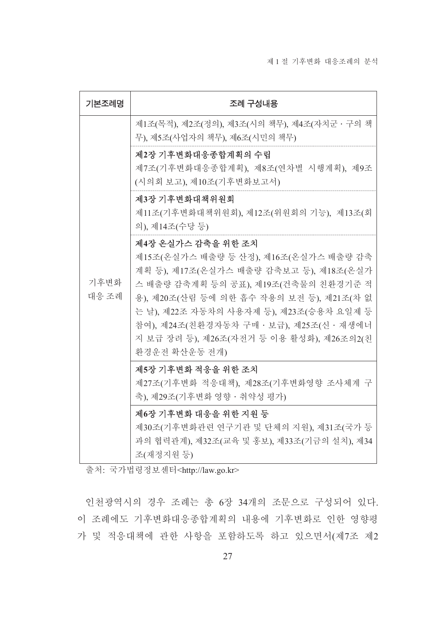| 기본조례명         | 조례 구성내용                                                                                                                                                                                                                                                                                                                                       |  |
|---------------|-----------------------------------------------------------------------------------------------------------------------------------------------------------------------------------------------------------------------------------------------------------------------------------------------------------------------------------------------|--|
| 기후변화<br>대응 조례 | 제1조(목적), 제2조(정의), 제3조(시의 책무), 제4조(자치군 · 구의 책<br>무), 제5조(사업자의 책무), 제6조(시민의 책무)                                                                                                                                                                                                                                                                 |  |
|               | 제2장 기후변화대응종합계획의 수립<br>제7조(기후변화대응종합계획), 제8조(연차별 시행계획), 제9조<br>(시의회 보고), 제10조(기후변화보고서)                                                                                                                                                                                                                                                          |  |
|               | 제3장 기후변화대책위원회<br>제11조(기후변화대책위원회), 제12조(위원회의 기능), 제13조(회<br>의), 제14조(수당 등)                                                                                                                                                                                                                                                                     |  |
|               | 제4장 온실가스 감축을 위한 조치<br>제15조(온실가스 배출량 등 산정), 제16조(온실가스 배출량 감축<br>계획 등), 제17조(온실가스 배출량 감축보고 등), 제18조(온실가<br>스 배출량 감축계획 등의 공표), 제19조(건축물의 친환경기준 적<br>용), 제20조(산림 등에 의한 흡수 작용의 보전 등), 제21조(차 없<br>는 날), 제22조 자동차의 사용자제 등), 제23조(승용차 요일제 등<br>참여), 제24조(친환경자동차 구매 · 보급), 제25조(신 · 재생에너<br>지 보급 장려 등), 제26조(자전거 등 이용 활성화), 제26조의2(친<br>환경운전 확산운동 전개) |  |
|               | 제5장 기후변화 적응을 위한 조치<br>제27조(기후변화 적응대책), 제28조(기후변화영향 조사체계 구<br>축), 제29조(기후변화 영향 · 취약성 평가)                                                                                                                                                                                                                                                       |  |
|               | 제6장 기후변화 대응을 위한 지원 등<br>제30조(기후변화관련 연구기관 및 단체의 지원), 제31조(국가 등<br>과의 협력관계), 제32조(교육 및 홍보), 제33조(기금의 설치), 제34<br>조(재정지원 등)                                                                                                                                                                                                                      |  |

출처: 국가법령정보센터<http://law.go.kr>

인천광역시의 경우 조례는 총 6장 34개의 조문으로 구성되어 있다. 이 조례에도 기후변화대응종합계획의 내용에 기후변화로 인한 영향평 가 및 적응대책에 관한 사항을 포함하도록 하고 있으면서(제7조 제2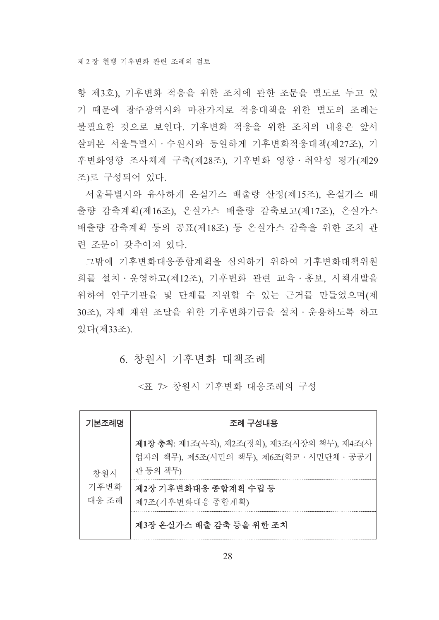항 제3호), 기후변화 적응을 위한 조치에 관한 조문을 별도로 두고 있 기 때문에 광주광역시와 마찬가지로 적응대책을 위한 별도의 조례는 불필요한 것으로 보인다. 기후변화 적응을 위한 조치의 내용은 앞서 살펴본 서울특별시 • 수원시와 동일하게 기후변화적응대책(제27조), 기 후변화영향 조사체계 구축(제28조), 기후변화 영향 · 취약성 평가(제29 조)로 구성되어 있다.

서울특별시와 유사하게 온실가스 배출량 산정(제15조), 온실가스 배 출량 감축계획(제16조), 온실가스 배출량 감축보고(제17조), 온실가스 배출량 감축계획 등의 공표(제18조) 등 온실가스 감축을 위한 조치 관 런 조문이 갖추어져 있다.

그밖에 기후변화대응종합계획을 심의하기 위하여 기후변화대책위원 회를 설치 · 운영하고(제12조), 기후변화 관련 교육 · 홍보, 시책개발을 위하여 연구기관을 및 단체를 지원할 수 있는 근거를 만들었으며(제 30조), 자체 재원 조달을 위한 기후변화기금을 설치 · 운용하도록 하고 있다(제33조).

#### 6. 창워시 기후변화 대책조례

<표 7> 창워시 기후변화 대응조례의 구성

| !몬조례몃                | 조례 구성내용                                                                                               |
|----------------------|-------------------------------------------------------------------------------------------------------|
| 창워시<br>기후변화<br>대응 조례 | 제1장 총칙: 제1조(목적), 제2조(정의), 제3조(시장의 책무), 제4조(사<br>업자의 책무), 제5조(시민의 책무), 제6조(학교 · 시민단체 · 공공기<br>관 등의 책무) |
|                      | 제2장 기후변화대응 종합계획 수립 등<br>제7조(기후변화대응 종합계획)                                                              |
|                      | 제3장 온실가스 배출 감축 등을 위한 조치                                                                               |

28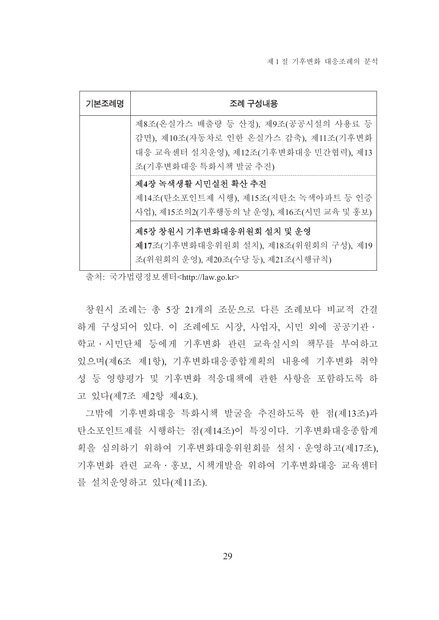| 조례 구성내용                                                                      |  |
|------------------------------------------------------------------------------|--|
| 제8조(온실가스 배출량 등 산정), 제9조(공공시설의 사용료 등<br>감면), 제10조(자동차로 인한 온실가스 감축), 제11조(기후변화 |  |
| 대응 교육센터 설치운영), 제12조(기후변화대응 민간협력), 제13<br>조(기후변화대응 특화시책 발굴 추진)                |  |
| 제4장 녹색생활 시민실천 확산 추진                                                          |  |
| 제14조(탄소포인트제 시행), 제15조(저탄소 녹색아파트 등 인증                                         |  |
| 사업), 제15조의2(기후행동의 날 운영), 제16조(시민 교육 및 홍보)                                    |  |
| 제5장 창원시 기후변화대응위원회 설치 및 운영                                                    |  |
| 제17조(기후변화대응위원회 설치), 제18조(위원회의 구성), 제19<br>조(위원회의 운영), 제20조(수당 등), 제21조(시행규칙) |  |
|                                                                              |  |

출처: 국가법령정보센터<http://law.go.kr>

창원시 조례는 총 5장 21개의 조문으로 다른 조례보다 비교적 간결 하게 구성되어 있다. 이 조례에도 시장, 사업자, 시민 외에 공공기관 · 학교 · 시민단체 등에게 기후변화 관련 교육실시의 책무를 부여하고 있으며(제6조 제1항). 기후변화대응종합계획의 내용에 기후변화 취약 성 등 영향평가 및 기후변화 적응대책에 관한 사항을 포함하도록 하 고 있다(제7조 제2항 제4호).

그밖에 기후변화대응 특화시책 발굴을 추진하도록 한 점(제13조)과 탄소포인트제를 시행하는 점(제14조)이 특징이다. 기후변화대응종합계 획을 심의하기 위하여 기후변화대응위원회를 설치 · 운영하고(제17조), 기후변화 관련 교육 · 홍보, 시책개발을 위하여 기후변화대응 교육센터 를 설치운영하고 있다(제11조).

29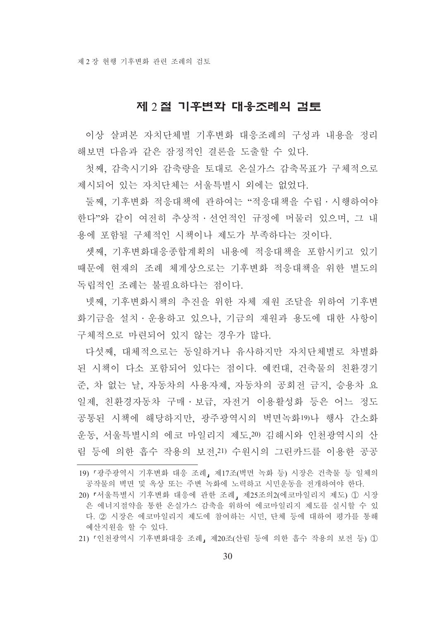### 제 2 절 기후변화 대응조례의 검토

이상 살펴본 자치단체별 기후변화 대응조례의 구성과 내용을 정리 해보면 다음과 같은 잠정적인 결론을 도출할 수 있다.

첫째, 감축시기와 감축량을 토대로 온실가스 감축목표가 구체적으로 제시되어 있는 자치다체는 서울특별시 외에는 없었다.

둘째, 기후변화 적응대책에 관하여는 "적응대책을 수립 · 시행하여야 한다"와 같이 여전히 추상적 · 선언적인 규정에 머물러 있으며, 그 내 용에 포함될 구체적인 시책이나 제도가 부족하다는 것이다.

셋째, 기후변화대응종합계획의 내용에 적응대책을 포함시키고 있기 때문에 현재의 조례 체계상으로는 기후변화 적응대책을 위한 별도의 독립적인 조례는 불필요하다는 점이다.

넷째, 기후변화시책의 추진을 위한 자체 재원 조달을 위하여 기후변 화기금을 설치 · 운용하고 있으나, 기금의 재원과 용도에 대한 사항이 구체적으로 마련되어 있지 않는 경우가 많다.

다섯째, 대체적으로는 동일하거나 유사하지만 자치단체별로 차별화 된 시책이 다소 포함되어 있다는 점이다. 예컨대, 건축물의 친환경기 준, 차 없는 날, 자동차의 사용자제, 자동차의 공회전 금지, 승용차 요 일제, 친환경자동차 구매 · 보급, 자전거 이용활성화 등은 어느 정도 공통된 시책에 해당하지만, 광주광역시의 벽면녹화19)나 행사 간소화 운동, 서울특별시의 에코 마일리지 제도.20) 김해시와 인천광역시의 산 림 등에 의한 흡수 작용의 보전,2!) 수원시의 그린카드를 이용한 공공

<sup>19) 『</sup>광주광역시 기후변화 대응 조례, 제17조(벽면 녹화 등) 시장은 건축물 등 일체의 공작물의 벽면 및 옥상 또는 주변 녹화에 노력하고 시민운동을 전개하여야 한다.

<sup>20) 『</sup>서울특별시 기후변화 대응에 관한 조례, 제25조의2(에코마일리지 제도) ① 시장 은 에너지절약을 통한 온실가스 감축을 위하여 에코마일리지 제도를 실시할 수 있 다. ② 시장은 에코마일리지 제도에 참여하는 시민, 단체 등에 대하여 평가를 통해 예산지원을 할 수 있다.

<sup>21) 『</sup>인천광역시 기후변화대응 조례』 제20조(산림 등에 의한 흡수 작용의 보전 등) ①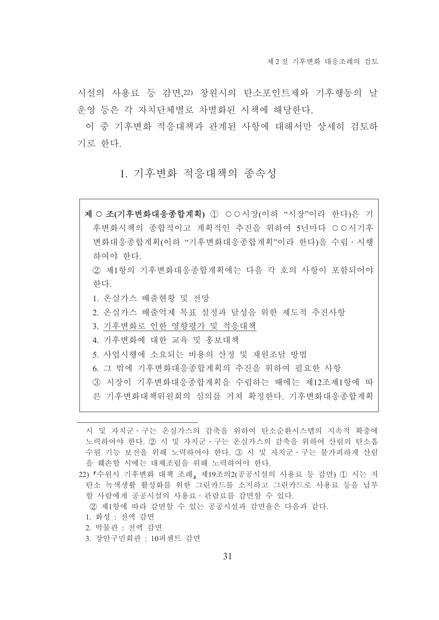시설의 사용료 등 감면 22) 창원시의 탄소포인트제와 기후행동의 날 운영 등은 각 자치다체별로 차별화된 시책에 해당하다.

이 중 기후변화 적응대책과 관계된 사항에 대해서만 상세히 검토하 기로 하다.

#### 1 기후변화 적응대책의 종속성

제 O 조(기후변화대응종합계획) ① OO시장(이하 "시장"이라 한다)은 기 후변화시책의 종합적이고 계획적인 추진을 위하여 5년마다 OO시기후 변화대응종합계획(이하 "기후변화대응종합계획"이라 한다)을 수립 · 시행 하여야 한다 ② 제1항의 기후변화대응종합계획에는 다음 각 호의 사항이 포함되어야 한다. 1. 온실가스 배출현황 및 전망 2 온실가스 배출억제 목퓨 설정과 달성을 위한 제도적 추진사항 3. 기후변화로 인한 영향평가 및 적응대책 4. 기후변화에 대한 교육 및 홍보대책 5. 사업시행에 소요되는 비용의 산정 및 재원조달 방법 6. 그 밖에 기후변화대응종합계획의 추진을 위하여 필요한 사항 3) 시장이 기후변화대응종합계획을 수립하는 때에는 제12조제1항에 따

른 기후변화대책위원회의 심의를 거쳐 확정한다. 기후변화대응종합계획

② 제1항에 따라 감면할 수 있는 공공시설과 감면율은 다음과 같다.

- 1. 화성 : 전액 감면
- 2. 박물관 : 전액 감면
- 3. 장아구민회관 : 10퍼센트 감면

시 및 자치군 · 구는 온실가스의 감축을 위하여 탄소순환시스템의 지속적 확충에 노력하여야 한다. 22 시 및 자치군 · 구는 온실가스의 감축을 위하여 산림의 탄소흡 수워 기능 보전을 위해 노력하여야 한다. ③ 시 및 자치군 · 구는 불가피하게 산림 을 훼손할 시에는 대체조림을 위해 노력하여야 한다.

<sup>22) 「</sup>수워시 기후변화 대책 조례, 제19조의2(공공시설의 사용료 등 감면) ① 시는 저 탄소 녹색생활 활성화를 위한 그린카드를 소지하고 그린카드로 사용료 등을 납부 할 사람에게 공공시설의 사용료 · 관람료를 감면할 수 있다.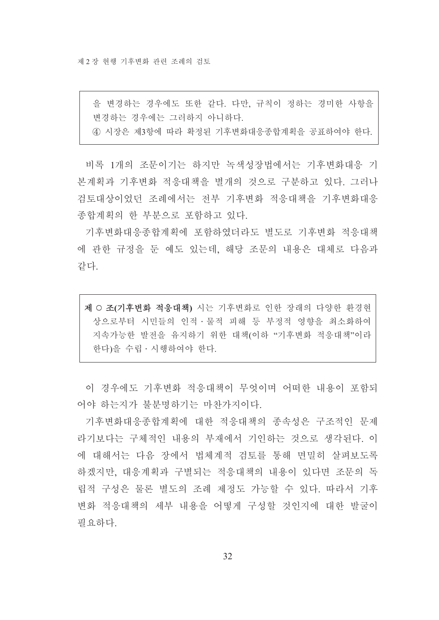제 2장 혁행 기후변화 관련 조례의 검토

을 변경하는 경우에도 또한 같다. 다만, 규칙이 정하는 경미한 사항을 변경하는 경우에는 그러하지 아니하다.

4) 시장은 제3항에 따라 확정된 기후변화대응종합계획을 공표하여야 한다.

비록 1개의 조문이기는 하지만 녹색성장법에서는 기후변화대응 기 본계획과 기후변화 적응대책을 별개의 것으로 구분하고 있다. 그러나 검토대상이었던 조례에서는 전부 기후변화 적응대책을 기후변화대응 종합계획의 한 부분으로 포함하고 있다.

기후변화대응종합계획에 포함하였더라도 별도로 기후변화 적응대책 에 관한 규정을 두 예도 있는데. 해당 조문의 내용은 대체로 다음과 같다.

제 O 조(기후변화 적응대책) 시는 기후변화로 인한 장래의 다양한 화경현 상으로부터 시민들의 인적 · 물적 피해 등 부정적 영향을 최소화하여 지속가능한 발전을 유지하기 위한 대책(이하 "기후변화 적응대책"이라 한다)을 수립 · 시행하여야 한다.

이 경우에도 기후변화 적응대책이 무엇이며 어떠한 내용이 포함되 어야 하는지가 불분명하기는 마찬가지이다.

기후변화대응종합계획에 대한 적응대책의 종속성은 구조적인 문제 라기보다는 구체적인 내용의 부재에서 기인하는 것으로 생각된다. 이 에 대해서는 다음 장에서 법체계적 검토를 통해 면밀히 살펴보도록 하겠지만. 대응계획과 구별되는 적응대책의 내용이 있다면 조문의 독 립적 구성은 물론 별도의 조례 제정도 가능할 수 있다. 따라서 기후 변화 적응대책의 세부 내용을 어떻게 구성할 것인지에 대한 발굴이 필요하다.

32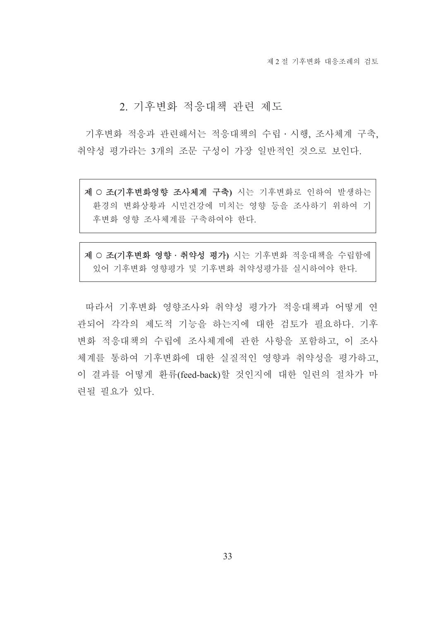제 2절 기후변화 대응조례의 검토

### 2. 기후변화 적응대책 관련 제도

기후변화 적응과 관련해서는 적응대책의 수립 · 시행, 조사체계 구축, 취약성 평가라는 3개의 조문 구성이 가장 일반적인 것으로 보인다.

제 O 조(기후변화영향 조사체계 구축) 시는 기후변화로 인하여 발생하는 환경의 변화상황과 시민건강에 미치는 영향 등을 조사하기 위하여 기 후변화 영향 조사체계를 구축하여야 한다.

제 O 조(기후변화 영향 · 취약성 평가) 시는 기후변화 적응대책을 수립함에 있어 기후변화 영향평가 및 기후변화 취약성평가를 실시하여야 한다.

따라서 기후변화 영향조사와 취약성 평가가 적응대책과 어떻게 연 관되어 각각의 제도적 기능을 하는지에 대한 검토가 필요하다. 기후 변화 적응대책의 수립에 조사체계에 관한 사항을 포함하고, 이 조사 체계를 통하여 기후변화에 대한 실질적인 영향과 취약성을 평가하고, 이 결과를 어떻게 환류(feed-back)할 것인지에 대한 일련의 절차가 마 려될 필요가 있다.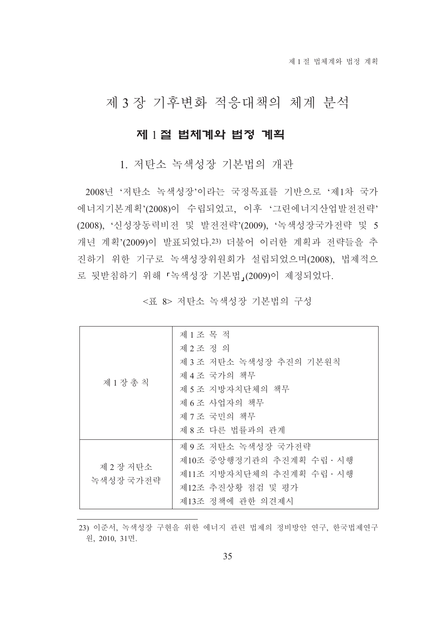# 제 3 장 기후변화 적응대책의 체계 분석

## 제 1절 법체계와 법정 계획

1. 저탄소 녹색성장 기본법의 개관

2008년 '저탄소 녹색성장'이라는 국정목표를 기반으로 '제1차 국가 에너지기본계획'(2008)이 수립되었고, 이후 '그린에너지산업발전전략' (2008), '신성장동력비전 및 발전전략'(2009), '녹색성장국가전략 및 5 개년 계획'(2009)이 발표되었다.23) 더불어 이러한 계획과 전략들을 추 진하기 위한 기구로 녹색성장위원회가 설립되었으며(2008), 법제적으 로 뒷받침하기 위해 『녹색성장 기본법』(2009)이 제정되었다.

|           | 제1조 목 적                   |
|-----------|---------------------------|
|           | 제2조정의                     |
|           | 제 3 조 저탄소 녹색성장 추진의 기본원칙   |
|           | 제 4 조 국가의 책무              |
| 제 1 장 총 칙 | 제 5 조 지방자치단체의 책무          |
|           | 제 6조 사업자의 책무              |
|           | 제 7 조 국민의 책무              |
|           | 제 8 조 다른 법률과의 관계          |
|           | 제 9조 저탄소 녹색성장 국가전략        |
|           | 제10조 중앙행정기관의 추진계획 수립 · 시행 |
| 제 2 장 저탄소 | 제11조 지방자치단체의 추진계획 수립 · 시행 |
| 녹색성장 국가전략 | 제12조 추진상황 점검 및 평가         |
|           | 제13조 정책에 관한 의견제시          |

<표 8> 저탄소 녹색성장 기본법의 구성

23) 이준서, 녹색성장 구현을 위한 에너지 관련 법제의 정비방안 연구, 한국법제연구 원, 2010, 31면.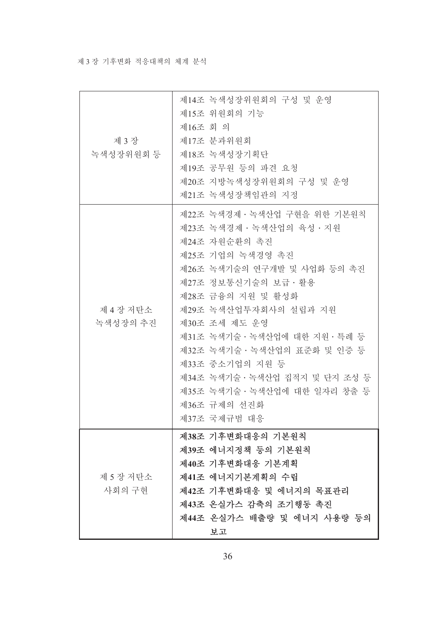#### 제 3 장 기후변화 적응대책의 체계 분석

|                       | 제14조 녹색성장위원회의 구성 및 운영                               |
|-----------------------|-----------------------------------------------------|
|                       | 제15조 위원회의 기능                                        |
|                       | 제16조 회 의                                            |
| 제 3 장                 | 제17조 분과위원회                                          |
| 녹색성장위원회 등             | 제18조 녹색성장기획단                                        |
|                       | 제19조 공무원 등의 파견 요청                                   |
|                       | 제20조 지방녹색성장위원회의 구성 및 운영                             |
|                       | 제21조 녹색성장책임관의 지정                                    |
|                       |                                                     |
|                       | 제22조 녹색경제·녹색산업 구현을 위한 기본원칙                          |
|                       | 제23조 녹색경제·녹색산업의 육성·지원                               |
|                       | 제24조 자원순환의 촉진                                       |
|                       | 제25조 기업의 녹색경영 촉진                                    |
|                       | 제26조 녹색기술의 연구개발 및 사업화 등의 촉진<br>제27조 정보통신기술의 보급 · 활용 |
|                       | 제28조 금융의 지원 및 활성화                                   |
|                       | 제29조 녹색산업투자회사의 설립과 지원                               |
| 제 4 장 저탄소<br>녹색성장의 추진 | 제30조 조세 제도 운영                                       |
|                       | 제31조 녹색기술·녹색산업에 대한 지원·특례 등                          |
|                       | 제32조 녹색기술·녹색산업의 표준화 및 인증 등                          |
|                       | 제33조 중소기업의 지원 등                                     |
|                       | 제34조 녹색기술·녹색산업 집적지 및 단지 조성 등                        |
|                       | 제35조 녹색기술·녹색산업에 대한 일자리 창출 등                         |
|                       | 제36조 규제의 선진화                                        |
|                       | 제37조 국제규범 대응                                        |
|                       |                                                     |
|                       | 제38조 기후변화대응의 기본원칙                                   |
|                       | 제39조 에너지정책 등의 기본원칙                                  |
|                       | 제40조 기후변화대응 기본계획                                    |
| 제 5 장 저탄소             | 제41조 에너지기본계획의 수립                                    |
| 사회의 구현                | 제42조 기후변화대응 및 에너지의 목표관리                             |
|                       | 제43조 온실가스 감축의 조기행동 촉진                               |
|                       | 제44조 온실가스 배출량 및 에너지 사용량 등의                          |
|                       | 보고                                                  |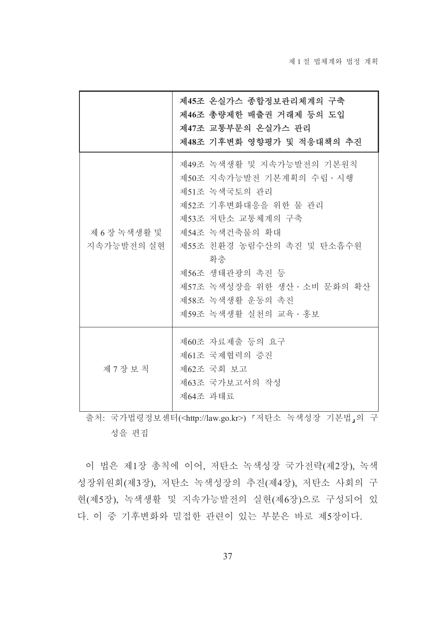|                            | 제45조 온실가스 종합정보관리체계의 구축<br>제46조 총량제한 배출권 거래제 등의 도입<br>제47조 교통부문의 온실가스 관리<br>제48조 기후변화 영향평가 및 적응대책의 추진                                                                                                                                                                     |
|----------------------------|--------------------------------------------------------------------------------------------------------------------------------------------------------------------------------------------------------------------------------------------------------------------------|
| 제 6 장 녹색생활 및<br>지속가능발전의 실현 | 제49조 녹색생활 및 지속가능발전의 기본원칙<br>제50조 지속가능발전 기본계획의 수립 · 시행<br>제51조 녹색국토의 관리<br>제52조 기후변화대응을 위한 물 관리<br>제53조 저탄소 교통체계의 구축<br>제54조 녹색건축물의 확대<br>제55조 친환경 농림수산의 촉진 및 탄소흡수원<br>확충<br>제56조 생태관광의 촉진 등<br>제57조 녹색성장을 위한 생산 · 소비 문화의 확산<br>제58조 녹색생활 운동의 촉진<br>제59조 녹색생활 실천의 교육 · 홍보 |
| 제 7 장 보 칙                  | 제60조 자료제출 등의 요구<br>제61조 국제협력의 증진<br>제62조 국회 보고<br>제63조 국가보고서의 작성<br>제64조 과태료                                                                                                                                                                                             |

출처: 국가법령정보센터(<http://law.go.kr>) 『저탄소 녹색성장 기본법』의 구 성을 편집

이 법은 제1장 총칙에 이어, 저탄소 녹색성장 국가전략(제2장), 녹색 성장위원회(제3장), 저탄소 녹색성장의 추진(제4장), 저탄소 사회의 구 현(제5장), 녹색생활 및 지속가능발전의 실현(제6장)으로 구성되어 있 다. 이 중 기후변화와 밀접한 관련이 있는 부분은 바로 제5장이다.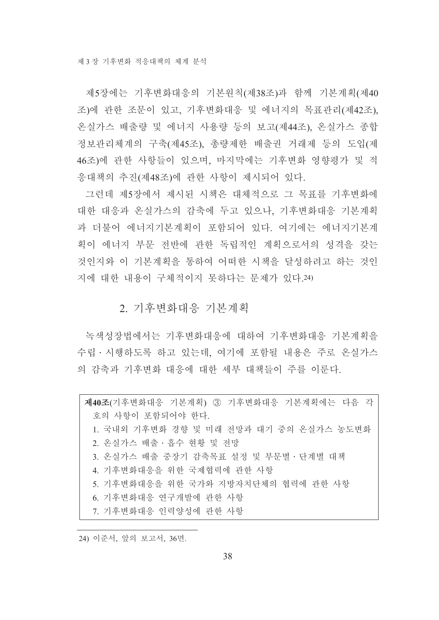제5장에는 기후변화대응의 기본원칙(제38조)과 함께 기본계획(제40 조)에 관한 조문이 있고, 기후변화대응 및 에너지의 목표관리(제42조), 온실가스 배출량 및 에너지 사용량 등의 보고(제44조), 온실가스 종합 정보관리체계의 구축(제45조), 총량제한 배출권 거래제 등의 도입(제 46조)에 관한 사항들이 있으며, 마지막에는 기후변화 영향평가 및 적 응대책의 추진(제48조)에 관한 사항이 제시되어 있다.

그런데 제5장에서 제시된 시책은 대체적으로 그 목표를 기후변화에 대한 대응과 온실가스의 감축에 두고 있으나, 기후변화대응 기본계획 과 더불어 에너지기본계획이 포함되어 있다. 여기에는 에너지기본계 획이 에너지 부문 전반에 관한 독립적인 계획으로서의 성격을 갖는 것인지와 이 기본계획을 통하여 어떠한 시책을 달성하려고 하는 것인 지에 대한 내용이 구체적이지 못하다는 문제가 있다.24)

## 2. 기후변화대응 기본계획

녹색성장법에서는 기후변화대응에 대하여 기후변화대응 기본계획을 수립 · 시행하도록 하고 있는데, 여기에 포함될 내용은 주로 온실가스 의 감축과 기후변화 대응에 대한 세부 대책들이 주를 이룬다.

<sup>24)</sup> 이준서, 앞의 보고서, 36면.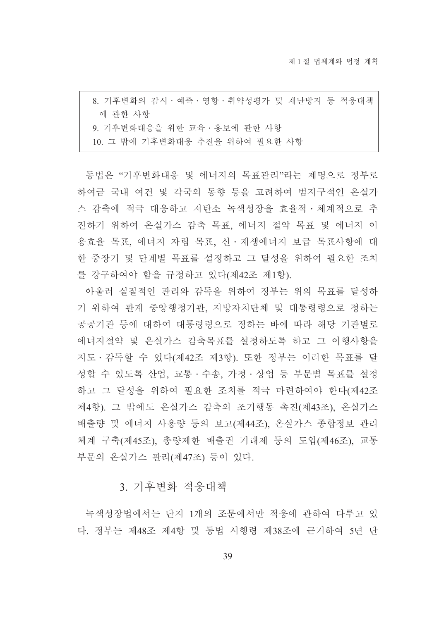| 8. 기후변화의 감시 · 예측 · 영향 · 취약성평가 및 재난방지 등 적응대책 |  |  |  |
|---------------------------------------------|--|--|--|
| 에 관한 사항                                     |  |  |  |
| 9. 기후변화대응을 위한 교육 · 홍보에 관한 사항                |  |  |  |
| 10. 그 밖에 기후변화대응 추진을 위하여 필요한 사항              |  |  |  |

동법은 "기후변화대응 및 에너지의 목표관리"라는 제명으로 정부로 하여금 국내 여건 및 각국의 동향 등을 고려하여 범지구적인 온실가 스 감축에 적극 대응하고 저탄소 녹색성장을 효율적 · 체계적으로 추 진하기 위하여 온실가스 감축 목표, 에너지 절약 목표 및 에너지 이 용효율 목표, 에너지 자립 목표, 신 · 재생에너지 보급 목표사항에 대 한 중장기 및 단계별 목표를 설정하고 그 달성을 위하여 필요한 조치 를 강구하여야 함을 규정하고 있다(제42조 제1항).

아울러 실질적인 관리와 감독을 위하여 정부는 위의 목표를 달성하 기 위하여 관계 중앙행정기관, 지방자치단체 및 대통령령으로 정하는 공공기관 등에 대하여 대통령령으로 정하는 바에 따라 해당 기관별로 에너지절약 및 온실가스 감축목표를 설정하도록 하고 그 이행사항을 지도·감독할 수 있다(제42조 제3항). 또한 정부는 이러한 목표를 달 성할 수 있도록 산업, 교통 · 수송, 가정 · 상업 등 부문별 목표를 설정 하고 그 달성을 위하여 필요한 조치를 적극 마련하여야 한다(제42조 제4항). 그 밖에도 온실가스 감축의 조기행동 촉진(제43조), 온실가스 배출량 및 에너지 사용량 등의 보고(제44조), 온실가스 종합정보 관리 체계 구축(제45조), 총량제한 배출권 거래제 등의 도입(제46조), 교통 부문의 온실가스 관리(제47조) 등이 있다.

#### 3. 기후변화 적응대책

녹색성장법에서는 단지 1개의 조문에서만 적응에 관하여 다루고 있 다. 정부는 제48조 제4항 및 동법 시행령 제38조에 근거하여 5년 단

39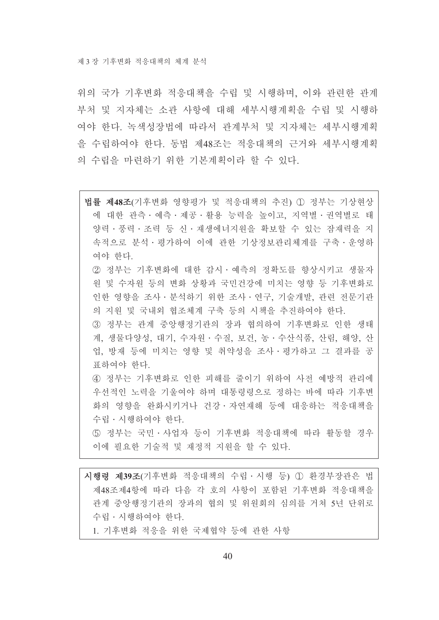위의 국가 기후변화 적응대책을 수립 및 시행하며, 이와 관련한 관계 부처 및 지자체는 소관 사항에 대해 세부시행계획을 수립 및 시행하 여야 한다. 녹색성장법에 따라서 관계부처 및 지자체는 세부시행계획 을 수립하여야 한다. 동법 제48조는 적응대책의 근거와 세부시행계획 의 수립을 마려하기 위한 기본계획이라 할 수 있다.

법률 제48조(기후변화 영향평가 및 적응대책의 추진) ① 정부는 기상현상 에 대한 관측 · 예측 · 제공 · 활용 능력을 높이고, 지역별 · 권역별로 태 양력 · 풍력 · 조력 등 신 · 재생에너지원을 확보할 수 있는 잠재력을 지 속적으로 분석 · 평가하여 이에 관한 기상정보관리체계를 구축 · 운영하 여야 한다.

② 정부는 기후변화에 대한 감시 · 예측의 정확도를 향상시키고 생물자 원 및 수자원 등의 변화 상황과 국민건강에 미치는 영향 등 기후변화로 인한 영향을 조사 · 분석하기 위한 조사 · 연구, 기술개발, 관련 전문기관 의 지워 및 국내외 협조체계 구축 등의 시책을 추진하여야 한다.

③ 정부는 관계 중앙행정기관의 장과 협의하여 기후변화로 인한 생태 계, 생물다양성, 대기, 수자원 · 수질, 보건, 농 · 수산식품, 산림, 해양, 산 업, 방재 등에 미치는 영향 및 취약성을 조사 · 평가하고 그 결과를 공 표하여야 한다.

4) 정부는 기후변화로 인한 피해를 줄이기 위하여 사전 예방적 관리에 우선적인 노력을 기울여야 하며 대통령령으로 정하는 바에 따라 기후변 화의 영향을 완화시키거나 건강 · 자연재해 등에 대응하는 적응대책을 수립 · 시행하여야 한다.

5 정부는 국민 · 사업자 등이 기후변화 적응대책에 따라 활동할 경우 이에 필요한 기술적 및 재정적 지원을 할 수 있다.

시행령 제39조(기후변화 적응대책의 수립 · 시행 등) ① 환경부장관은 법 제48조제4항에 따라 다음 각 호의 사항이 포함된 기후변화 적응대책을 관계 중앙행정기관의 장과의 협의 및 위원회의 심의를 거쳐 5년 단위로 수립 · 시행하여야 한다.

1. 기후변화 적응을 위한 국제협약 등에 관한 사항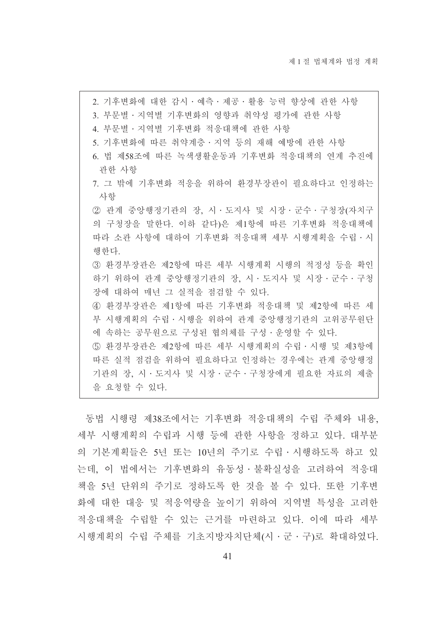2. 기후변화에 대한 감시 · 예측 · 제공 · 활용 능력 향상에 관한 사항 3. 부문별 • 지역별 기후변화의 영향과 취약성 평가에 관한 사항 4. 부문별 · 지역별 기후변화 적응대책에 관한 사항 5. 기후변화에 따른 취약계층 · 지역 등의 재해 예방에 관한 사항 6. 법 제58조에 따른 녹색생활운동과 기후변화 적응대책의 연계 추진에 관한 사항 7. 그 밖에 기후변화 적응을 위하여 화경부장관이 필요하다고 인정하는 사항 2 관계 중앙행정기관의 장, 시 · 도지사 및 시장 · 군수 · 구청장(자치구 의 구청장을 말한다. 이하 같다)은 제1항에 따른 기후변화 적응대책에 따라 소관 사항에 대하여 기후변화 적응대책 세부 시행계획을 수립 · 시 행한다. 3 환경부장관은 제2항에 따른 세부 시행계획 시행의 적정성 등을 확인 하기 위하여 관계 중앙행정기관의 장 시 · 도지사 및 시장 · 군수 · 구청 장에 대하여 매년 그 실적을 점검할 수 있다. 4) 환경부장관은 제1항에 따른 기후변화 적응대책 및 제2항에 따른 세 부 시행계획의 수립 · 시행을 위하여 관계 중앙행정기관의 고위공무원단 에 속하는 공무원으로 구성된 협의체를 구성·운영할 수 있다. 5 환경부장관은 제2항에 따른 세부 시행계획의 수립 · 시행 및 제3항에 따른 실적 점검을 위하여 필요하다고 인정하는 경우에는 관계 중앙행정 기관의 장, 시 · 도지사 및 시장 · 군수 · 구청장에게 필요한 자료의 제출 을 요청할 수 있다.

동법 시행령 제38조에서는 기후변화 적응대책의 수립 주체와 내용, 세부 시행계획의 수립과 시행 등에 관한 사항을 정하고 있다. 대부분 의 기본계획들은 5년 또는 10년의 주기로 수립 · 시행하도록 하고 있 는데, 이 법에서는 기후변화의 유동성·불확실성을 고려하여 적응대 책을 5년 단위의 주기로 정하도록 한 것을 볼 수 있다. 또한 기후변 화에 대한 대응 및 적응역량을 높이기 위하여 지역별 특성을 고려한 적응대책을 수립할 수 있는 근거를 마련하고 있다. 이에 따라 세부 시행계획의 수립 주체를 기초지방자치단체(시 · 군 · 구)로 확대하였다.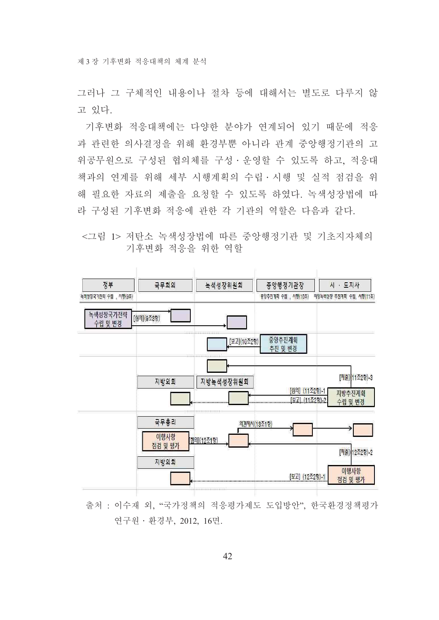그러나 그 구체적인 내용이나 절차 등에 대해서는 별도로 다루지 않 고 있다.

기후변화 적응대책에는 다양한 분야가 연계되어 있기 때문에 적응 과 관련한 의사결정을 위해 환경부뿐 아니라 관계 중앙행정기관의 고 위공무원으로 구성된 협의체를 구성 · 운영할 수 있도록 하고, 적응대 책과의 연계를 위해 세부 시행계획의 수립 · 시행 및 실적 점검을 위 해 필요한 자료의 제출을 요청할 수 있도록 하였다. 녹색성장법에 따 라 구성된 기후변화 적응에 관한 각 기관의 역할은 다음과 같다.

<그림 1> 저탄소 녹색성장법에 따른 중앙행정기관 및 기초지자체의 기후변화 적응을 위한 역할



출처 : 이수재 외, "국가정책의 적응평가제도 도입방안", 한국환경정책평가 연구원 · 환경부, 2012, 16면.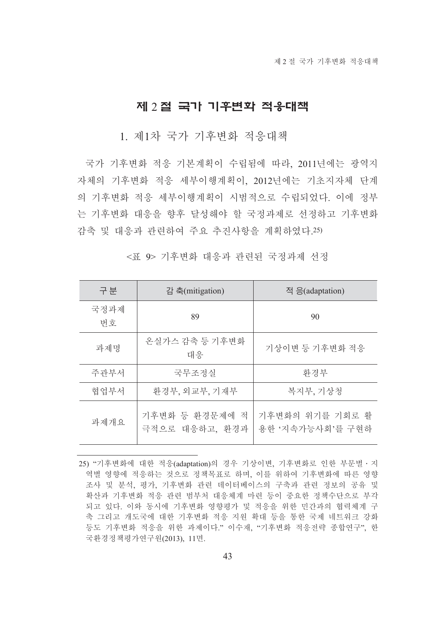#### 제 2 절 국가 기후변화 적응대책

1. 제1차 국가 기후변화 적응대책

국가 기후변화 적응 기본계획이 수립됨에 따라, 2011년에는 광역지 자체의 기후변화 적응 세부이행계획이, 2012년에는 기초지자체 단계 의 기후변화 적응 세부이행계획이 시범적으로 수립되었다. 이에 정부 는 기후변화 대응을 향후 달성해야 할 국정과제로 선정하고 기후변화 감축 및 대응과 관련하여 주요 추진사항을 계획하였다. 25)

| 구분         | 감 축(mitigation)                  | 적 응(adaptation)                     |
|------------|----------------------------------|-------------------------------------|
| 국정과제<br>번호 | 89                               | 90                                  |
| 과제명        | 온실가스 감축 등 기후변화<br>대응             | 기상이변 등 기후변화 적응                      |
| 주관부서       | 국무조정실                            | 화경부                                 |
| 협업부서       | 환경부, 외교부, 기재부                    | 복지부, 기상청                            |
| 과제개요       | 기후변화 등 환경문제에 적<br>극적으로 대응하고, 환경과 | 기후변화의 위기를 기회로 활<br>용한 '지속가능사회'를 구현하 |

<표 9> 기후변화 대응과 관련된 국정과제 선정

<sup>25) &</sup>quot;기후변화에 대한 적응(adaptation)의 경우 기상이변, 기후변화로 인한 부문별 · 지 역별 영향에 적응하는 것으로 정책목표로 하며, 이를 위하여 기후변화에 따른 영향 조사 및 분석, 평가, 기후변화 관련 데이터베이스의 구축과 관련 정보의 공유 및 확산과 기후변화 적응 관련 범부처 대응체계 마련 등이 중요한 정책수단으로 부각 되고 있다. 이와 동시에 기후변화 영향평가 및 적응을 위한 민간과의 협력체계 구 축 그리고 개도국에 대한 기후변화 적응 지원 확대 등을 통한 국제 네트워크 강화 등도 기후변화 적응을 위한 과제이다." 이수재, "기후변화 적응전략 종합연구", 한 국환경정책평가연구원(2013), 11면.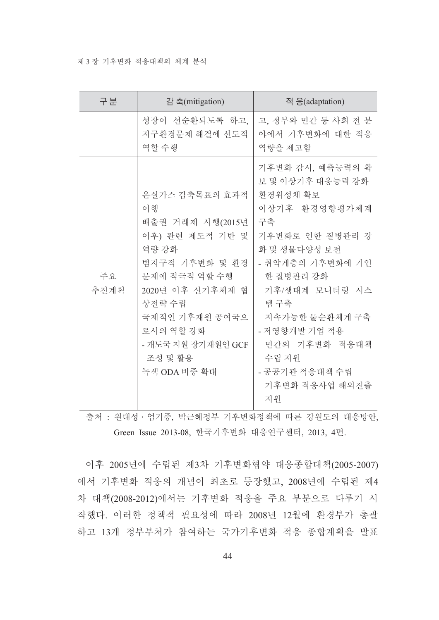#### 제 3 장 기후변화 적응대책의 체계 분석

| 구분         | 감 축(mitigation)                                                                                                                                                                                                         | 적 응(adaptation)                                                                                                                                                                                                                                                              |
|------------|-------------------------------------------------------------------------------------------------------------------------------------------------------------------------------------------------------------------------|------------------------------------------------------------------------------------------------------------------------------------------------------------------------------------------------------------------------------------------------------------------------------|
|            | 성장이 선순환되도록 하고,<br>지구환경문제 해결에 선도적<br>역할 수행                                                                                                                                                                               | 고, 정부와 민간 등 사회 전 분<br>야에서 기후변화에 대한 적응<br>역량을 제고함                                                                                                                                                                                                                             |
| 주요<br>추진계획 | 온실가스 감축목표의 효과적<br>이행<br>배출권 거래제 시행(2015년<br>이후) 관련 제도적 기반 및<br>역량 강화<br>범지구적 기후변화 및 환경<br>문제에 적극적 역할 수행<br>2020년 이후 신기후체제 협<br>상전략 수립<br>국제적인 기후재원 공여국으  <br>로서의 역할 강화<br>- 개도국 지원 장기재원인 GCF<br>조성 및 활용<br>녹색 ODA 비중 확대 | 기후변화 감시, 예측능력의 확<br>보 및 이상기후 대응능력 강화<br>환경위성체 확보<br>이상기후 환경영향평가체계<br>구축<br>기후변화로 인한 질병관리 강<br>화 및 생물다양성 보전<br>- 취약계층의 기후변화에 기인<br>한 질병관리 강화<br>기후/생태계 모니터링 시스<br>템 구축<br>지속가능한 물순환체계 구축<br>- 저영향개발 기업 적용<br>민간의 기후변화 적응대책<br>수립 지원<br>- 공공기관 적응대책 수립<br>기후변화 적응사업 해외진출<br>지원 |

출처 : 원대성 · 엄기증, 박근혜정부 기후변화정책에 따른 강원도의 대응방안, Green Issue 2013-08. 한국기후변화 대응연구센터, 2013. 4면,

이후 2005년에 수립된 제3차 기후변화협약 대응종합대책(2005-2007) 에서 기후변화 적응의 개념이 최초로 등장했고, 2008년에 수립된 제4 차 대책(2008-2012)에서는 기후변화 적응을 주요 부분으로 다루기 시 작했다. 이러한 정책적 필요성에 따라 2008년 12월에 환경부가 총괄 하고 13개 정부부처가 참여하는 국가기후변화 적응 종합계획을 발표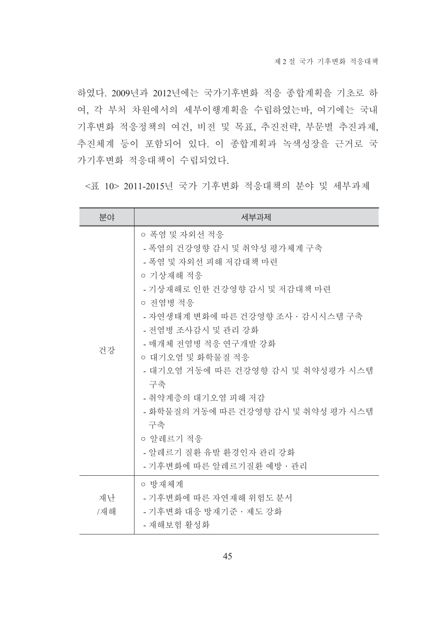하였다. 2009년과 2012년에는 국가기후변화 적응 종합계획을 기초로 하 여, 각 부처 차원에서의 세부이행계획을 수립하였는바, 여기에는 국내 기후변화 적응정책의 여건, 비전 및 목표, 추진전략, 부문별 추진과제, 추진체계 등이 포함되어 있다. 이 종합계획과 녹색성장을 근거로 국 가기후변화 적응대책이 수립되었다.

<표 10> 2011-2015년 국가 기후변화 적응대책의 분야 및 세부과제

| 분야        | 세부과제                                                                                                                                                                                                                                                                                                                                                                                                                     |
|-----------|--------------------------------------------------------------------------------------------------------------------------------------------------------------------------------------------------------------------------------------------------------------------------------------------------------------------------------------------------------------------------------------------------------------------------|
| 건강        | ㅇ 폭염 및 자외선 적응<br>- 폭염의 건강영향 감시 및 취약성 평가체계 구축<br>- 폭염 및 자외선 피해 저감대책 마련<br>ㅇ 기상재해 적응<br>- 기상재해로 인한 건강영향 감시 및 저감대책 마련<br>ㅇ 전염병 적응<br>- 자연생태계 변화에 따른 건강영향 조사 · 감시시스템 구축<br>- 전염병 조사감시 및 관리 강화<br>- 매개체 전염병 적응 연구개발 강화<br>○ 대기오염 및 화학물질 적응<br>- 대기오염 거동에 따른 건강영향 감시 및 취약성평가 시스템<br>구축<br>- 취약계층의 대기오염 피해 저감<br>- 화학물질의 거동에 따른 건강영향 감시 및 취약성 평가 시스템<br>구축<br>ㅇ 알레르기 적응<br>- 알레르기 질환 유발 환경인자 관리 강화<br>- 기후변화에 따른 알레르기질환 예방 · 관리 |
| 재난<br>/재해 | ㅇ 방재체계<br>- 기후변화에 따른 자연재해 위험도 분서<br>- 기후변화 대응 방재기준 • 제도 강화<br>- 재해보험 활성화                                                                                                                                                                                                                                                                                                                                                 |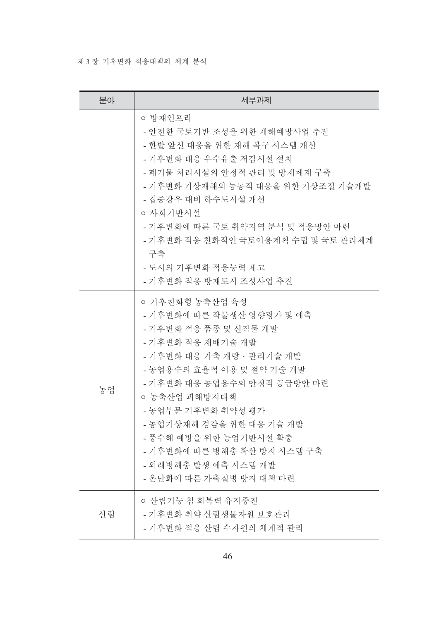#### 제 3 장 기후변화 적응대책의 체계 분석

| 분야 | 세부과제                                                                                                                                                                                                                                                                                                                                                               |
|----|--------------------------------------------------------------------------------------------------------------------------------------------------------------------------------------------------------------------------------------------------------------------------------------------------------------------------------------------------------------------|
|    | ㅇ 방재인프라<br>- 안전한 국토기반 조성을 위한 재해예방사업 추진<br>- 한발 앞선 대응을 위한 재해 복구 시스템 개선<br>- 기후변화 대응 우수유출 저감시설 설치<br>- 폐기물 처리시설의 안정적 관리 및 방재체계 구축<br>- 기후변화 기상재해의 능동적 대응을 위한 기상조절 기술개발<br>- 집중강우 대비 하수도시설 개선<br>ㅇ 사회기반시설<br>- 기후변화에 따른 국토 취약지역 분석 및 적응방안 마련<br>- 기후변화 적응 친화적인 국토이용계획 수립 및 국토 관리체계<br>구축<br>- 도시의 기후변화 적응능력 제고<br>- 기후변화 적응 방재도시 조성사업 추진                              |
| 농업 | ㅇ 기후친화형 농축산업 육성<br>- 기후변화에 따른 작물생산 영향평가 및 예측<br>- 기후변화 적응 품종 및 신작물 개발<br>- 기후변화 적응 재배기술 개발<br>- 기후변화 대응 가축 개량 · 관리기술 개발<br>- 농업용수의 효율적 이용 및 절약 기술 개발<br>- 기후변화 대응 농업용수의 안정적 공급방안 마련<br>ㅇ 농축산업 피해방지대책<br>- 농업부문 기후변화 취약성 평가<br>- 농업기상재해 경감을 위한 대응 기술 개발<br>- 풍수해 예방을 위한 농업기반시설 확충<br>- 기후변화에 따른 병해충 확산 방지 시스템 구축<br>- 외래병해충 발생 예측 시스템 개발<br>- 온난화에 따른 가축질병 방지 대책 마련 |
| 산림 | ㅇ 산림기능 침 회복력 유지증진<br>- 기후변화 취약 산림생물자원 보호관리<br>- 기후변화 적응 산림 수자원의 체계적 관리                                                                                                                                                                                                                                                                                             |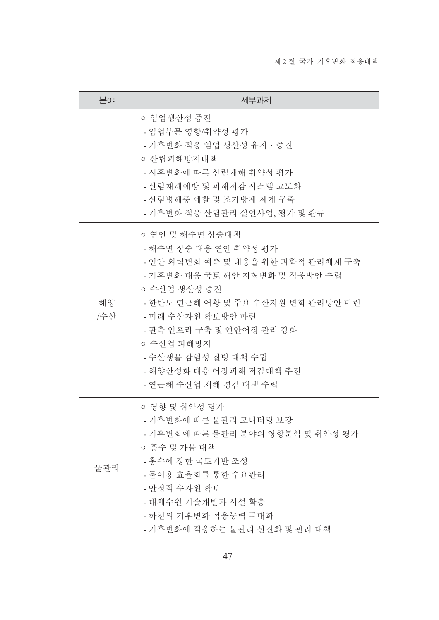| 분야        | 세부과제                                                                                                                                                                                                                                                                                                           |
|-----------|----------------------------------------------------------------------------------------------------------------------------------------------------------------------------------------------------------------------------------------------------------------------------------------------------------------|
|           | ㅇ 임업생산성 증진<br>- 임업부문 영향/취약성 평가<br>- 기후변화 적응 임업 생산성 유지 · 증진<br>ㅇ 산림피해방지대책<br>- 시후변화에 따른 산림재해 취약성 평가<br>- 산림재해예방 및 피해저감 시스템 고도화<br>- 산림병해충 예찰 및 조기방제 체계 구축<br>- 기후변화 적응 산림관리 실연사업, 평가 및 환류                                                                                                                       |
| 해양<br>/수산 | ㅇ 연안 및 해수면 상승대책<br>- 해수면 상승 대응 연안 취약성 평가<br>- 연안 외력변화 예측 및 대응을 위한 과학적 관리체계 구축<br>- 기후변화 대응 국토 해안 지형변화 및 적응방안 수립<br>ㅇ 수산업 생산성 증진<br>- 한반도 연근해 어황 및 주요 수산자원 변화 관리방안 마련<br>- 미래 수산자원 확보방안 마련<br>- 관측 인프라 구축 및 연안어장 관리 강화<br>ㅇ 수산업 피해방지<br>- 수산생물 감염성 질병 대책 수립<br>- 해양산성화 대응 어장피해 저감대책 추진<br>- 연근해 수산업 재해 경감 대책 수립 |
| 물관리       | ㅇ 영향 및 취약성 평가<br>- 기후변화에 따른 물관리 모니터링 보강<br>- 기후변화에 따른 물관리 분야의 영향분석 및 취약성 평가<br>ㅇ 홍수 및 가뭄 대책<br>- 홍수에 강한 국토기반 조성<br>- 물이용 효율화를 통한 수요관리<br>- 안정적 수자원 확보<br>- 대체수원 기술개발과 시설 확충<br>- 하천의 기후변화 적응능력 극대화<br>- 기후변화에 적응하는 물관리 선진화 및 관리 대책                                                                             |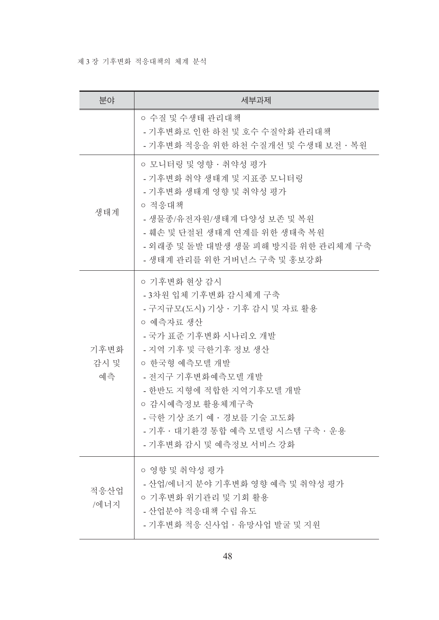#### 제 3 장 기후변화 적응대책의 체계 분석

| 분야                 | 세부과제                                                                                                                                                                                                                                                                                                               |
|--------------------|--------------------------------------------------------------------------------------------------------------------------------------------------------------------------------------------------------------------------------------------------------------------------------------------------------------------|
|                    | ㅇ 수질 및 수생태 관리대책<br>- 기후변화로 인한 하천 및 호수 수질악화 관리대책<br>- 기후변화 적응을 위한 하천 수질개선 및 수생태 보전 · 복원                                                                                                                                                                                                                             |
| 생태계                | ㅇ 모니터링 및 영향 · 취약성 평가<br>- 기후변화 취약 생태계 및 지표종 모니터링<br>- 기후변화 생태계 영향 및 취약성 평가<br>ㅇ 적응대책<br>- 생물종/유전자원/생태계 다양성 보존 및 복원<br>- 훼손 및 단절된 생태계 연계를 위한 생태축 복원<br>- 외래종 및 돌발 대발생 생물 피해 방지를 위한 관리체계 구축<br>- 생태계 관리를 위한 거버넌스 구축 및 홍보강화                                                                                           |
| 기후변화<br>감시 및<br>예측 | ㅇ 기후변화 현상 감시<br>- 3차원 입체 기후변화 감시체계 구축<br>- 구지규모(도시) 기상・기후 감시 및 자료 활용<br>ㅇ 예측자료 생산<br>- 국가 표준 기후변화 시나리오 개발<br>- 지역 기후 및 극한기후 정보 생산<br>ㅇ 한국형 예측모델 개발<br>- 전지구 기후변화예측모델 개발<br>- 한반도 지형에 적합한 지역기후모델 개발<br>ㅇ 감시예측정보 활용체계구축<br>- 극한 기상 조기 예 · 경보를 기술 고도화<br>- 기후 · 대기환경 통합 예측 모델링 시스템 구축 · 운용<br>- 기후변화 감시 및 예측정보 서비스 강화 |
| 적응산업<br>/에너지       | ㅇ 영향 및 취약성 평가<br>- 산업/에너지 분야 기후변화 영향 예측 및 취약성 평가<br>ㅇ 기후변화 위기관리 및 기회 활용<br>- 산업분야 적응대책 수립 유도<br>- 기후변화 적응 신사업・유망사업 발굴 및 지원                                                                                                                                                                                         |

48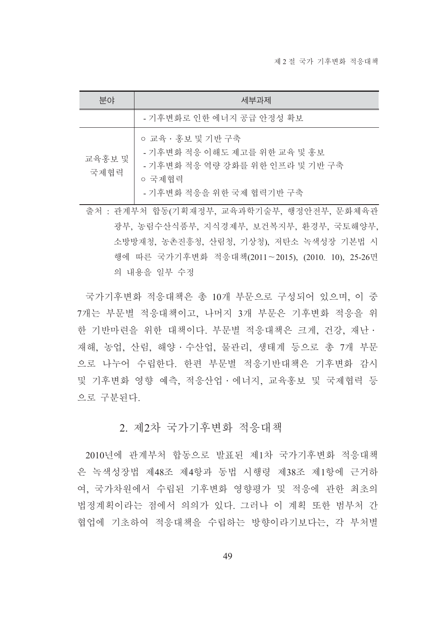| 분야             | 세부과제                                                                                                                       |
|----------------|----------------------------------------------------------------------------------------------------------------------------|
|                | - 기후변화로 인한 에너지 공급 안정성 확보                                                                                                   |
| 교육홍보 및<br>국제협력 | ㅇ 교육 • 홍보 및 기반 구축<br>- 기후변화 적응 이해도 제고를 위한 교육 및 홍보<br>- 기후변화 적응 역량 강화를 위한 인프라 및 기반 구축<br>ㅇ 국제협력<br>- 기후변화 적응을 위한 국제 협력기반 구축 |

출처 : 관계부처 합동(기획재정부, 교육과학기술부, 행정안전부, 문화체육관 광부, 농림수산식품부, 지식경제부, 보건복지부, 환경부, 국토해양부, 소방방재청, 농촌진흥청, 산림청, 기상청), 저탄소 녹색성장 기본법 시 행에 따른 국가기후변화 적응대책(2011~2015), (2010. 10), 25-26면 의 내용을 일부 수정

국가기후변화 적응대책은 총 10개 부문으로 구성되어 있으며, 이 중 7개는 부문별 적응대책이고, 나머지 3개 부문은 기후변화 적응을 위 한 기반마련을 위한 대책이다. 부문별 적응대책은 크게, 건강, 재난ㆍ 재해, 농업, 산림, 해양 · 수산업, 물관리, 생태계 등으로 총 7개 부문 으로 나누어 수립한다. 한편 부문별 적응기반대책은 기후변화 감시 및 기후변화 영향 예측, 적응산업 · 에너지, 교육홍보 및 국제협력 등 으로 구분된다.

#### 2. 제2차 국가기후변화 적응대책

2010년에 관계부처 합동으로 발표된 제1차 국가기후변화 적응대책 은 녹색성장법 제48조 제4항과 동법 시행령 제38조 제1항에 근거하 여, 국가차원에서 수립된 기후변화 영향평가 및 적응에 관한 최초의 법정계획이라는 점에서 의의가 있다. 그러나 이 계획 또한 범부처 간 협업에 기초하여 적응대책을 수립하는 방향이라기보다는, 각 부처별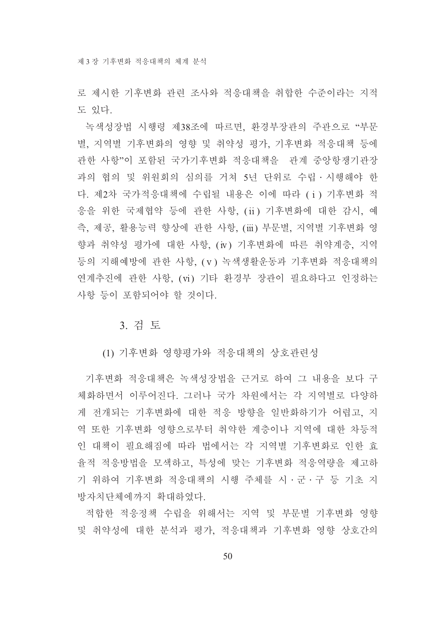로 제시한 기후변화 관련 조사와 적응대책을 취합한 수준이라는 지적 도 있다.

녹색성장법 시행령 제38조에 따르면, 환경부장관의 주관으로 "부문 별, 지역별 기후변화의 영향 및 취약성 평가, 기후변화 적응대책 등에 관한 사항"이 포함된 국가기후변화 적응대책을 \_ 관계 중앙항쟁기관장 과의 협의 및 위원회의 심의를 거쳐 5년 단위로 수립·시행해야 한 다. 제2차 국가적응대책에 수립될 내용은 이에 따라 (i) 기후변화 적 응을 위한 국제협약 등에 관한 사항, (ii) 기후변화에 대한 감시, 예 측, 제공, 활용능력 향상에 관한 사항, (iii) 부문별, 지역별 기후변화 영 향과 취약성 평가에 대한 사항. (iv) 기후변화에 따른 취약계층. 지역 등의 지해예방에 관한 사항. (v) 녹색생활운동과 기후변화 적응대책의 연계추진에 관한 사항, (vi) 기타 환경부 장관이 필요하다고 인정하는 사항 등이 포함되어야 할 것이다.

#### 3. 검 토

(1) 기후변화 영향평가와 적응대책의 상호관련성

기후변화 적응대책은 녹색성장법을 근거로 하여 그 내용을 보다 구 체화하면서 이루어진다. 그러나 국가 차워에서는 각 지역별로 다양하 게 전개되는 기후변화에 대한 적응 방향을 일반화하기가 어렵고. 지 역 또한 기후변화 영향으로부터 취약한 계층이나 지역에 대한 차등적 인 대책이 필요해짐에 따라 법에서는 각 지역별 기후변화로 인한 효 율적 적응방법을 모색하고, 특성에 맞는 기후변화 적응역량을 제고하 기 위하여 기후변화 적응대책의 시행 주체를 시·군·구 등 기초 지 방자치단체에까지 확대하였다.

적합한 적응정책 수립을 위해서는 지역 및 부문별 기후변화 영향 및 취약성에 대한 부석과 평가, 적응대책과 기후변화 영향 상호간의

50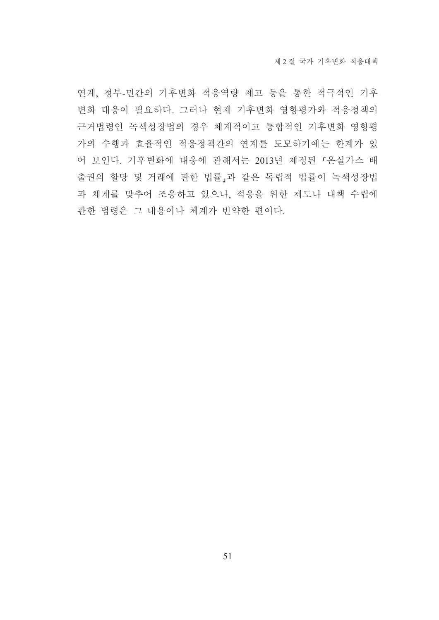연계, 정부-민간의 기후변화 적응역량 제고 등을 통한 적극적인 기후 변화 대응이 필요하다. 그러나 현재 기후변화 영향평가와 적응정책의 근거법령인 녹색성장법의 경우 체계적이고 통합적인 기후변화 영향평 가의 수행과 효율적인 적응정책간의 연계를 도모하기에는 한계가 있 어 보인다. 기후변화에 대응에 관해서는 2013년 제정된 「온실가스 배 출권의 할당 및 거래에 관한 법률」과 같은 독립적 법률이 녹색성장법 과 체계를 맞추어 조응하고 있으나, 적응을 위한 제도나 대책 수립에 관한 법령은 그 내용이나 체계가 빈약한 편이다.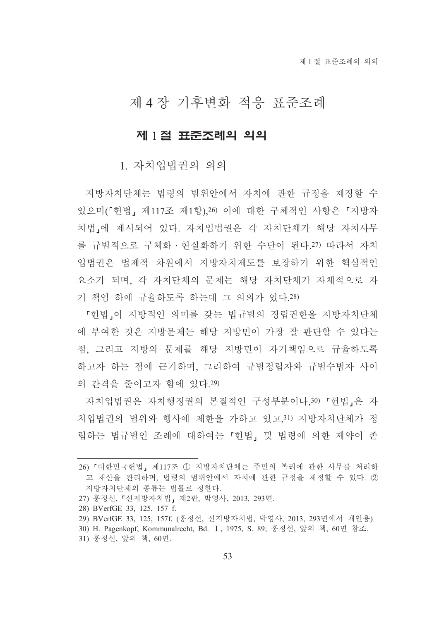# 제 4 장 기후변화 적응 표준조례

#### 제 1절 표준조례의 의의

1. 자치입법권의 의의

지방자치단체는 법령의 범위안에서 자치에 관한 규정을 제정할 수 있으며(『헌법, 제117조 제1항).26) 이에 대한 구체적인 사항은 『지방자 치법」에 제시되어 있다. 자치입법권은 각 자치단체가 해당 자치사무 를 규범적으로 구체화 • 현실화하기 위한 수단이 된다.27) 따라서 자치 입법권은 법제적 차원에서 지방자치제도를 보장하기 위한 핵심적인 요소가 되며, 각 자치단체의 문제는 해당 자치단체가 자체적으로 자 기 책임 하에 규율하도록 하는데 그 의의가 있다.28)

『헌법』이 지방적인 의미를 갖는 법규범의 정립권한을 지방자치단체 에 부여한 것은 지방문제는 해당 지방민이 가장 잘 판단할 수 있다는 점, 그리고 지방의 문제를 해당 지방민이 자기책임으로 규율하도록 하고자 하는 점에 근거하며. 그리하여 규범정립자와 규범수범자 사이 의 간격을 줄이고자 함에 있다.29)

자치입법권은 자치행정권의 본질적인 구성부분이나,30) 「헌법」은 자 치입법권의 범위와 행사에 제한을 가하고 있고 31) 지방자치단체가 정 립하는 법규범인 조례에 대하여는 「헌법」 및 법령에 의한 제약이 존

<sup>26) 『</sup>대한민국헌법』 제117조 ① 지방자치단체는 주민의 복리에 관한 사무를 처리하 고 재산을 관리하며, 법령의 범위안에서 자치에 관한 규정을 제정할 수 있다. 2 지방자치단체의 종류는 법률로 정하다.

<sup>27)</sup> 홍정선, 『신지방자치법』제2판, 박영사, 2013, 293면.

<sup>28)</sup> BVerfGE 33, 125, 157 f.

<sup>29)</sup> BVerfGE 33, 125, 157f. (홍정선, 신지방자치법, 박영사, 2013, 293면에서 재인용)

<sup>30)</sup> H. Pagenkopf. Kommunalrecht. Bd. I. 1975. S. 89: 홍정선, 앞의 책. 60면 참조.

<sup>31)</sup> 홍정선, 앞의 책, 60면.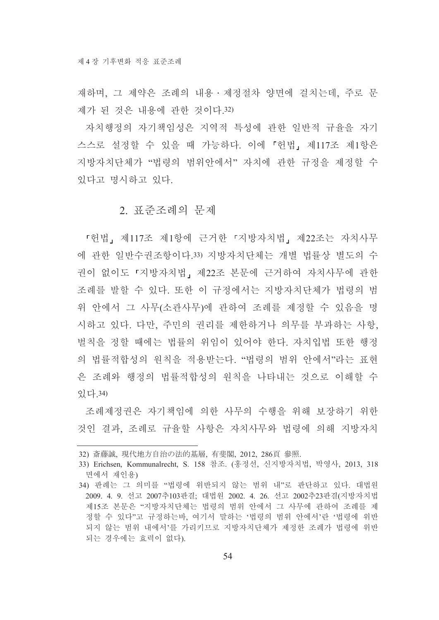재하며 그 제약은 조례의 내용 · 제정절차 양면에 걸치는데 주로 문 제가 된 것은 내용에 관한 것이다.32)

자치행정의 자기책임성은 지역적 특성에 관한 일반적 규율을 자기 스스로 설정할 수 있을 때 가능하다. 이에 「헌법」 제117조 제1항은 지방자치단체가 "법령의 범위안에서"자치에 관한 규정을 제정할 수 있다고 명시하고 있다.

#### 2. 표준조례의 문제

『헌법』제117조 제1항에 근거한 「지방자치법」제22조는 자치사무 에 관한 일반수권조항이다 33) 지방자치단체는 개별 법률상 별도의 수 권이 없이도 『지방자치법』제22조 본문에 근거하여 자치사무에 관한 조례를 발할 수 있다. 또한 이 규정에서는 지방자치단체가 법령의 범 위 안에서 그 사무(소관사무)에 관하여 조례를 제정할 수 있음을 명 시하고 있다. 다만, 주민의 권리를 제한하거나 의무를 부과하는 사항, 벌칙을 정할 때에는 법률의 위임이 있어야 한다. 자치입법 또한 행정 의 법률적합성의 워칙을 적용받는다. "법령의 범위 아에서"라는 표현 은 조례와 행정의 법률적합성의 원칙을 나타내는 것으로 이해할 수 있다. 34)

조례제정권은 자기책임에 의한 사무의 수행을 위해 보장하기 위한 것인 결과, 조례로 규율할 사항은 자치사무와 법령에 의해 지방자치

<sup>32)</sup> 斎藤誠、現代地方自治の法的基層、有斐閣、2012、286頁 參照.

<sup>33)</sup> Erichsen, Kommunalrecht, S. 158 참조. (홍정선, 신지방자치법, 박영사, 2013, 318 면에서 재인용)

<sup>34)</sup> 판례는 그 의미를 "법령에 위반되지 않는 범위 내"로 판단하고 있다. 대법원 2009. 4. 9. 선고 2007추103판결; 대법원 2002. 4. 26. 선고 2002추23판결(지방자치법 제15조 본문은 "지방자치단체는 법령의 범위 안에서 그 사무에 관하여 조례를 제 정할 수 있다"고 규정하는바, 여기서 말하는 '법령의 범위 안에서'란 '법령에 위반 되지 않는 범위 내에서'를 가리키므로 지방자치단체가 제정한 조례가 법령에 위반 되는 경우에는 효력이 없다).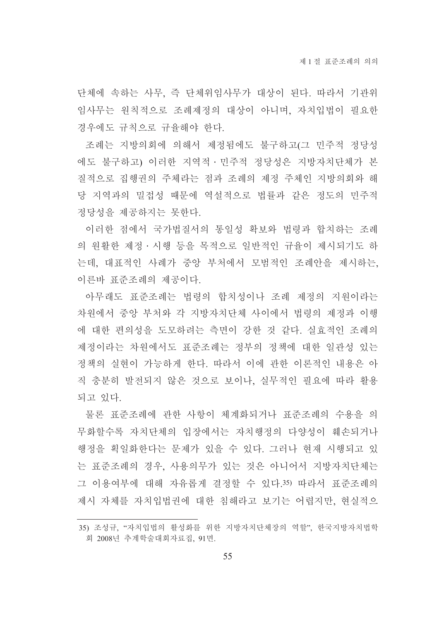단체에 속하는 사무, 즉 단체위임사무가 대상이 된다. 따라서 기관위 임사무는 워칙적으로 조례제정의 대상이 아니며, 자치입법이 필요한 경우에도 규칙으로 규율해야 한다.

조례는 지방의회에 의해서 제정됨에도 불구하고(그 민주적 정당성 에도 불구하고) 이러한 지역적·민주적 정당성은 지방자치단체가 본 질적으로 집행권의 주체라는 점과 조례의 제정 주체인 지방의회와 해 당 지역과의 밀접성 때문에 역설적으로 법률과 같은 정도의 민주적 정당성을 제공하지는 못한다.

이러한 점에서 국가법질서의 통일성 확보와 법령과 합치하는 조례 의 원활한 제정ㆍ시행 등을 목적으로 일반적인 규율이 제시되기도 하 는데, 대표적인 사례가 중앙 부처에서 모범적인 조례안을 제시하는, 이른바 표준조례의 제공이다.

아무래도 표준조례는 법령의 합치성이나 조례 제정의 지원이라는 차원에서 중앙 부처와 각 지방자치단체 사이에서 법령의 제정과 이행 에 대한 편의성을 도모하려는 측면이 강한 것 같다. 실효적인 조례의 제정이라는 차원에서도 표준조례는 정부의 정책에 대한 일관성 있는 정책의 실현이 가능하게 한다. 따라서 이에 관한 이론적인 내용은 아 직 충분히 발전되지 않은 것으로 보이나, 실무적인 필요에 따라 활용 되고 있다.

물론 표준조례에 관한 사항이 체계화되거나 표준조례의 수용을 의 무화할수록 자치단체의 입장에서는 자치행정의 다양성이 훼손되거나 행정을 획일화한다는 문제가 있을 수 있다. 그러나 현재 시행되고 있 는 표준조례의 경우, 사용의무가 있는 것은 아니어서 지방자치단체는 그 이용여부에 대해 자유롭게 결정할 수 있다.35) 따라서 표준조례의 제시 자체를 자치입법권에 대한 침해라고 보기는 어렵지만, 현실적으

<sup>35)</sup> 조성규. "자치입법의 활성화를 위한 지방자치단체장의 역할". 한국지방자치법학 회 2008년 추계학술대회자료집, 91면.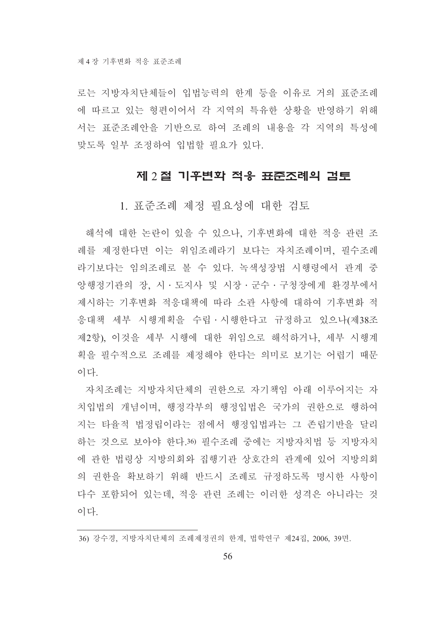로는 지방자치단체들이 입법능력의 한계 등을 이유로 거의 표준조례 에 따르고 있는 형편이어서 각 지역의 특유한 상황을 반영하기 위해 서는 표준조례안을 기반으로 하여 조례의 내용을 각 지역의 특성에 맞도록 일부 조정하여 입법할 필요가 있다.

# 제 2 절 기후변화 적응 표준조례의 검토

1. 표주조례 제정 필요성에 대한 검토

해석에 대한 논란이 있을 수 있으나. 기후변화에 대한 적응 관련 조 례를 제정한다면 이는 위임조례라기 보다는 자치조례이며, 필수조례 라기보다는 임의조례로 볼 수 있다. 녹색성장법 시행령에서 관계 중 앙행정기관의 장, 시·도지사 및 시장·군수·구청장에게 환경부에서 제시하는 기후변화 적응대책에 따라 소관 사항에 대하여 기후변화 적 응대책 세부 시행계획을 수립ㆍ시행한다고 규정하고 있으나(제38조 제2항), 이것을 세부 시행에 대한 위임으로 해석하거나, 세부 시행계 획을 필수적으로 조례를 제정해야 한다는 의미로 보기는 어렵기 때문 이다.

자치조례는 지방자치단체의 권한으로 자기책임 아래 이루어지는 자 치입법의 개념이며, 행정각부의 행정입법은 국가의 권한으로 행하여 지는 타율적 법정립이라는 점에서 행정입법과는 그 존립기반을 달리 하는 것으로 보아야 한다.36) 필수조례 중에는 지방자치법 등 지방자치 에 관한 법령상 지방의회와 집행기관 상호간의 관계에 있어 지방의회 의 권한을 확보하기 위해 반드시 조례로 규정하도록 명시한 사항이 다수 포함되어 있는데, 적응 관련 조례는 이러한 성격은 아니라는 것 이다.

<sup>36)</sup> 강수경, 지방자치단체의 조례제정권의 한계, 법학연구 제24집, 2006, 39면.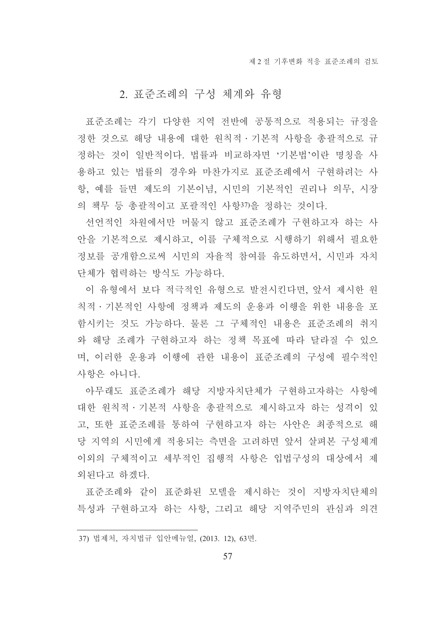## 2. 표준조례의 구성 체계와 유형

표준조례는 각기 다양한 지역 전반에 공통적으로 적용되는 규정을 정한 것으로 해당 내용에 대한 원칙적ㆍ기본적 사항을 총괄적으로 규 정하는 것이 일반적이다. 법률과 비교하자면 '기본법'이란 명칭을 사 용하고 있는 법률의 경우와 마찬가지로 표준조례에서 구현하려는 사 항, 예를 들면 제도의 기본이념, 시민의 기본적인 권리나 의무, 시장 의 책무 등 총괄적이고 포괄적인 사항37)을 정하는 것이다.

선언적인 차워에서만 머물지 않고 표준조례가 구현하고자 하는 사 안을 기본적으로 제시하고, 이를 구체적으로 시행하기 위해서 필요한 정보를 공개함으로써 시민의 자율적 참여를 유도하면서. 시민과 자치 단체가 협력하는 방식도 가능하다.

이 유형에서 보다 적극적인 유형으로 발전시킨다면, 앞서 제시한 원 칙적 · 기본적인 사항에 정책과 제도의 운용과 이행을 위한 내용을 포 함시키는 것도 가능하다. 물론 그 구체적인 내용은 표준조례의 취지 와 해당 조례가 구현하고자 하는 정책 목표에 따라 달라질 수 있으 며, 이러한 우용과 이행에 관한 내용이 표준조례의 구성에 필수적인 사항은 아니다.

아무래도 표준조례가 해당 지방자치단체가 구혁하고자하는 사항에 대한 원칙적 · 기본적 사항을 총괄적으로 제시하고자 하는 성격이 있 고, 또한 표준조례를 통하여 구현하고자 하는 사안은 최종적으로 해 당 지역의 시민에게 적용되는 측면을 고려하면 앞서 살펴본 구성체계 이외의 구체적이고 세부적인 집행적 사항은 입법구성의 대상에서 제 외된다고 하겠다.

표준조례와 같이 표준화된 모델을 제시하는 것이 지방자치단체의 특성과 구현하고자 하는 사항, 그리고 해당 지역주민의 관심과 의견

<sup>37)</sup> 법제처, 자치법규 입안메뉴얼, (2013. 12), 63면.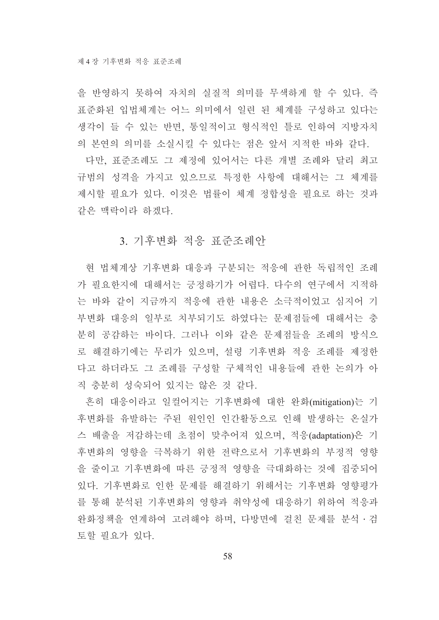을 반영하지 못하여 자치의 실질적 의미를 무색하게 할 수 있다. 즉 표준화된 입법체계는 어느 의미에서 일련 된 체계를 구성하고 있다는 생각이 들 수 있는 반면, 통일적이고 형식적인 틀로 인하여 지방자치 의 본연의 의미를 소실시킬 수 있다는 점은 앞서 지적한 바와 같다.

다만, 표준조례도 그 제정에 있어서는 다른 개별 조례와 달리 최고 규범의 성격을 가지고 있으므로 특정한 사항에 대해서는 그 체계를 제시할 필요가 있다. 이것은 법률이 체계 정합성을 필요로 하는 것과 같은 맥락이라 하겠다.

## 3. 기후변화 적응 표준조례안

현 법체계상 기후변화 대응과 구분되는 적응에 관한 독립적인 조례 가 필요한지에 대해서는 긍정하기가 어렵다. 다수의 연구에서 지적하 는 바와 같이 지금까지 적응에 관한 내용은 소극적이었고 심지어 기 부변화 대응의 일부로 치부되기도 하였다는 문제점들에 대해서는 충 분히 공감하는 바이다. 그러나 이와 같은 문제점들을 조례의 방식으 로 해결하기에는 무리가 있으며, 설령 기후변화 적응 조례를 제정한 다고 하더라도 그 조례를 구성할 구체적인 내용들에 관한 논의가 아 직 충분히 성숙되어 있지는 않은 것 같다.

흔히 대응이라고 일컬어지는 기후변화에 대한 완화(mitigation)는 기 후변화를 유발하는 주된 원인인 인간활동으로 인해 발생하는 온실가 스 배출을 저감하는데 초점이 맞추어져 있으며, 적응(adaptation)은 기 후변화의 영향을 극복하기 위한 전략으로서 기후변화의 부정적 영향 을 줄이고 기후변화에 따른 긍정적 영향을 극대화하는 것에 집중되어 있다. 기후변화로 인한 문제를 해결하기 위해서는 기후변화 영향평가 를 통해 분석된 기후변화의 영향과 취약성에 대응하기 위하여 적응과 완화정책을 연계하여 고려해야 하며, 다방면에 걸친 문제를 분석 · 검 토할 필요가 있다.

58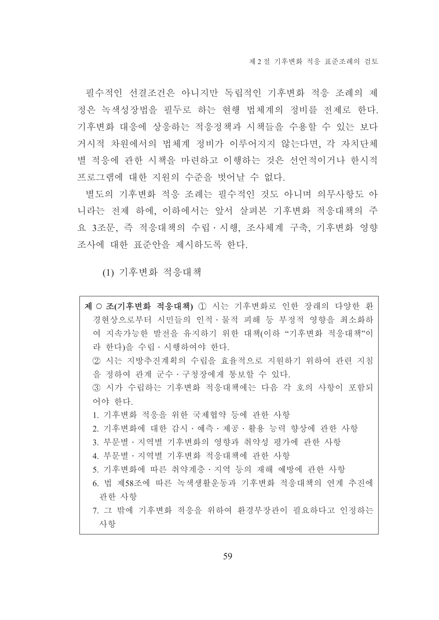필수적인 선결조건은 아니지만 독립적인 기후변화 적응 조례의 제 정은 녹색성장법을 필두로 하는 현행 법체계의 정비를 전제로 한다. 기후변화 대응에 상응하는 적응정책과 시책들을 수용할 수 있는 보다 거시적 차원에서의 법체계 정비가 이루어지지 않는다면, 각 자치단체 별 적응에 관한 시책을 마련하고 이행하는 것은 선언적이거나 한시적 프로그램에 대한 지원의 수준을 벗어날 수 없다.

별도의 기후변화 적응 조례는 필수적인 것도 아니며 의무사항도 아 니라는 전제 하에, 이하에서는 앞서 살펴본 기후변화 적응대책의 주 요 3조문, 즉 적응대책의 수립·시행, 조사체계 구축, 기후변화 영향 조사에 대한 표준안을 제시하도록 한다.

(1) 기후변화 적응대책

제 O 조(기후변화 적응대책) 1 시는 기후변화로 인한 장래의 다양한 환 경현상으로부터 시민들의 인적 · 물적 피해 등 부정적 영향을 최소화하 여 지속가능한 발전을 유지하기 위한 대책(이하 "기후변화 적응대책"이 라 한다)을 수립 · 시행하여야 한다. ② 시는 지방추진계획의 수립을 효율적으로 지원하기 위하여 관련 지침 을 정하여 관계 군수 · 구청장에게 통보할 수 있다. 3) 시가 수립하는 기후변화 적응대책에는 다음 각 호의 사항이 포함되 어야 한다. 1. 기후변화 적응을 위한 국제협약 등에 관한 사항 2. 기후변화에 대한 감시·예측·제공·활용 능력 향상에 관한 사항 3. 부문별 · 지역별 기후변화의 영향과 취약성 평가에 관한 사항 4. 부문별 · 지역별 기후변화 적응대책에 관한 사항 5. 기후변화에 따른 취약계층 · 지역 등의 재해 예방에 관한 사항 6. 법 제58조에 따른 녹색생활운동과 기후변화 적응대책의 연계 추진에 관한 사항 7. 그 밖에 기후변화 적응을 위하여 환경부장관이 필요하다고 인정하는 사항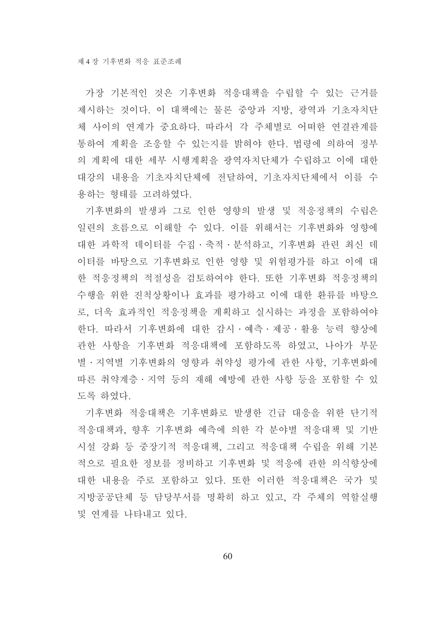가장 기본적인 것은 기후변화 적응대책을 수립할 수 있는 근거를 제시하는 것이다. 이 대책에는 물론 중앙과 지방, 광역과 기초자치단 체 사이의 연계가 중요하다. 따라서 각 주체별로 어떠한 연결관계를 통하여 계획을 조응할 수 있는지를 밝혀야 한다. 법령에 의하여 정부 의 계획에 대한 세부 시행계획을 광역자치단체가 수립하고 이에 대한 대강의 내용을 기초자치단체에 전달하여, 기초자치단체에서 이를 수 용하는 형태를 고려하였다.

기후변화의 발생과 그로 인한 영향의 발생 및 적응정책의 수립은 일련의 흐름으로 이해할 수 있다. 이를 위해서는 기후변화와 영향에 대한 과학적 데이터를 수집ㆍ축적ㆍ분석하고, 기후변화 관련 최신 데 이터를 바탕으로 기후변화로 인한 영향 및 위험평가를 하고 이에 대 한 적응정책의 적절성을 검토하여야 한다. 또한 기후변화 적응정책의 수행을 위한 진척상황이나 효과를 평가하고 이에 대한 환류를 바탕으 로, 더욱 효과적인 적응정책을 계획하고 실시하는 과정을 포함하여야 한다. 따라서 기후변화에 대한 감시·예측·제공·활용 능력 향상에 관한 사항을 기후변화 적응대책에 포함하도록 하였고. 나아가 부문 별 · 지역별 기후변화의 영향과 취약성 평가에 관한 사항, 기후변화에 따른 취약계층 · 지역 등의 재해 예방에 관한 사항 등을 포함할 수 있 도록 하였다.

기후변화 적응대책은 기후변화로 발생한 긴급 대응을 위한 단기적 적응대책과, 향후 기후변화 예측에 의한 각 분야별 적응대책 및 기반 시설 강화 등 중장기적 적응대책. 그리고 적응대책 수립을 위해 기본 적으로 필요한 정보를 정비하고 기후변화 및 적응에 관한 의식향상에 대한 내용을 주로 포함하고 있다. 또한 이러한 적응대책은 국가 및 지방공공단체 등 담당부서를 명확히 하고 있고, 각 주체의 역할실행 및 여계를 나타내고 있다.

60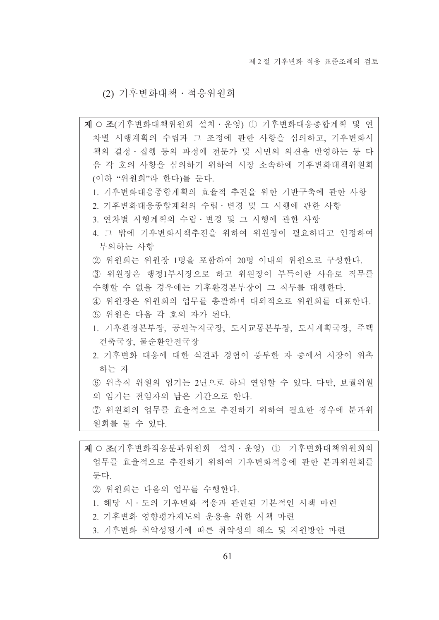제 2 절 기후변화 적응 퓨주조례의 검토

(2) 기후변화대책 · 적응위워회

제 O 조(기후변화대책위원회 설치 · 운영) 1 기후변화대응종합계획 및 연 차별 시행계획의 수립과 그 조정에 관한 사항을 심의하고, 기후변화시 책의 결정 · 집행 등의 과정에 전문가 및 시민의 의견을 반영하는 등 다 음 각 호의 사항을 심의하기 위하여 시장 소속하에 기후변화대책위원회 (이하 "위워회"라 하다)를 두다. 1. 기후변화대응종합계획의 효율적 추진을 위한 기반구축에 관한 사항 2. 기후변화대응종합계획의 수립 · 변경 및 그 시행에 관한 사항 3. 연차별 시행계획의 수립 · 변경 및 그 시행에 관한 사항 4. 그 밖에 기후변화시책추지을 위하여 위워장이 필요하다고 인정하여 부의하는 사항 ② 위원회는 위원장 1명을 포함하여 20명 이내의 위원으로 구성한다. 3) 위원장은 행정1부시장으로 하고 위원장이 부득이한 사유로 직무를 수행할 수 없을 경우에는 기후화경본부장이 그 직무를 대행한다. 4) 위원장은 위원회의 업무를 총괄하며 대외적으로 위원회를 대표한다. 5 위원은 다음 각 호의 자가 된다. 1. 기후환경본부장, 공원녹지국장, 도시교통본부장, 도시계획국장, 주택 건축국장, 물순환안전국장 2. 기후변화 대응에 대한 식견과 경험이 풍부한 자 중에서 시장이 위촉 하는 자 6 위촉직 위원의 임기는 2년으로 하되 연임할 수 있다. 다만, 보궐위원 의 임기는 전임자의 남은 기간으로 한다. 7 위원회의 업무를 효율적으로 추진하기 위하여 필요한 경우에 분과위 원회를 둘 수 있다. 제 O 조(기후변화적응분과위원회 설치·운영) ① 기후변화대책위원회의

업무를 효율적으로 추진하기 위하여 기후변화적응에 관한 분과위원회를 두다 2 위워회는 다음의 업무를 수행하다.

- 1. 해당 시 · 도의 기후변화 적응과 관련된 기본적인 시책 마련
- 2. 기후변화 영향평가제도의 운용을 위한 시책 마련
- 3. 기후변화 취약성평가에 따른 취약성의 해소 및 지원방안 마련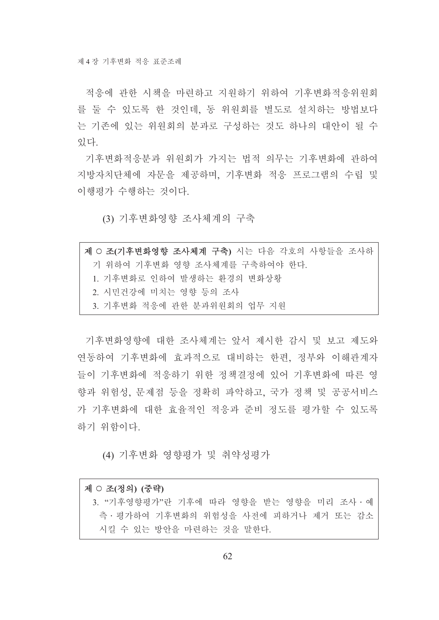적응에 관한 시책을 마련하고 지워하기 위하여 기후변화적응위워회 를 둘 수 있도록 한 것인데, 동 위원회를 별도로 설치하는 방법보다 는 기존에 있는 위워회의 부과로 구성하는 것도 하나의 대안이 될 수 있다

기후변화적응분과 위원회가 가지는 법적 의무는 기후변화에 관하여 지방자치단체에 자문을 제공하며 기후변화 적응 프로그램의 수립 및 이행평가 수행하는 것이다.

(3) 기후변화영향 조사체계의 구축

| 제 O 조(기후변화영향 조사체계 구축) 시는 다음 각호의 사항들을 조사하 |
|------------------------------------------|
| 기 위하여 기후변화 영향 조사체계를 구축하여야 하다.            |
| 1. 기후변화로 인하여 발생하는 환경의 변화상황               |
| 2. 시민건강에 미치는 영향 등의 조사                    |
| 3. 기후변화 적응에 관한 분과위워회의 업무 지워              |

기후변화영향에 대한 조사체계는 앞서 제시한 감시 및 보고 제도와 연동하여 기후변화에 효과적으로 대비하는 한편. 정부와 이해관계자 들이 기후변화에 적응하기 위한 정책결정에 있어 기후변화에 따른 영 향과 위험성, 문제점 등을 정확히 파악하고, 국가 정책 및 공공서비스 가 기후변화에 대한 효율적인 적응과 준비 정도를 평가할 수 있도록 하기 위함이다.

(4) 기후변화 영향평가 및 취약성평가

# 제 ○ 조(정의) (중략) 3. "기후영향평가"란 기후에 따라 영향을 받는 영향을 미리 조사 • 예 측 · 평가하여 기후변화의 위험성을 사전에 피하거나 제거 또는 감소 시킬 수 있는 방안을 마련하는 것을 말한다.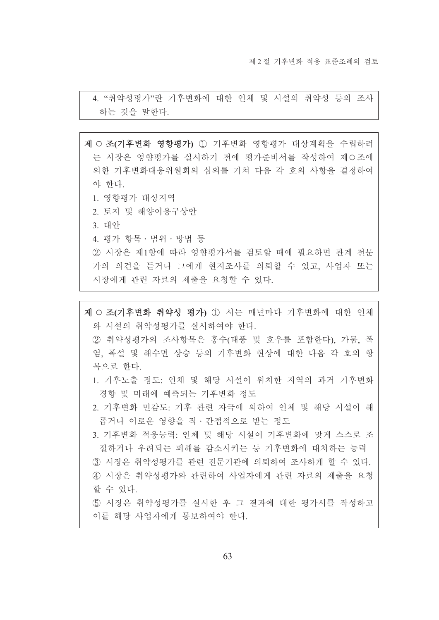4. "취약성평가"란 기후변화에 대한 인체 및 시설의 취약성 등의 조사 하는 것을 말한다.

제 O 조(기후변화 영향평가) 1 기후변화 영향평가 대상계획을 수립하려 는 시장은 영향평가를 실시하기 전에 평가준비서를 작성하여 제O조에 의한 기후변화대응위원회의 심의를 거쳐 다음 각 호의 사항을 결정하여 야 한다.

- 1. 영향평가 대상지역
- 2. 토지 및 해양이용구상안
- 3. 대안
- 4. 평가 항목 · 범위 · 방법 등

② 시장은 제1항에 따라 영향평가서를 검토할 때에 필요하면 관계 전문 가의 의견을 듣거나 그에게 현지조사를 의뢰할 수 있고, 사업자 또는 시장에게 관련 자료의 제출을 요청할 수 있다.

# 제 O 조(기후변화 취약성 평가) 1 시는 매년마다 기후변화에 대한 인체 와 시설의 취약성평가를 실시하여야 한다. ② 취약성평가의 조사항목은 홍수(태풍 및 호우를 포함한다), 가뭄, 폭 염, 폭설 및 해수면 상승 등의 기후변화 현상에 대한 다음 각 호의 항 목으로 한다. 1. 기후노출 정도: 인체 및 해당 시설이 위치한 지역의 과거 기후변화 경향 및 미래에 예측되는 기후변화 정도 2. 기후변화 민감도: 기후 관련 자극에 의하여 인체 및 해당 시설이 해 롭거나 이로운 영향을 직ㆍ간접적으로 받는 정도 3. 기후변화 적응능력: 인체 및 해당 시설이 기후변화에 맞게 스스로 조 절하거나 우려되는 피해를 감소시키는 등 기후변화에 대처하는 능력 ③ 시장은 취약성평가를 관련 전문기관에 의뢰하여 조사하게 할 수 있다. ④ 시장은 취약성평가와 관련하여 사업자에게 관련 자료의 제출을 요청 할 수 있다. 5 시장은 취약성평가를 실시한 후 그 결과에 대한 평가서를 작성하고 이를 해당 사업자에게 통보하여야 한다.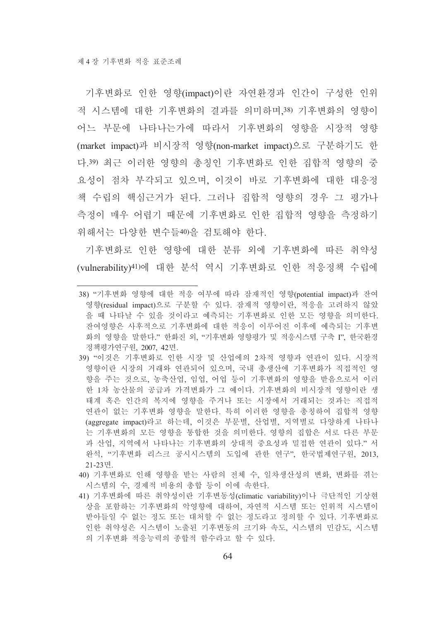기후변화로 인한 영향(impact)이란 자연환경과 인간이 구성한 인위 적 시스템에 대한 기후변화의 결과를 의미하며 38) 기후변화의 영향이 어느 부문에 나타나는가에 따라서 기후변화의 영향을 시장적 영향 (market impact)과 비시장적 영향(non-market impact)으로 구분하기도 한 다.39) 최근 이러한 영향의 총칭이 기후변화로 인한 집합적 영향의 중 요성이 점차 부각되고 있으며, 이것이 바로 기후변화에 대한 대응정 책 수립의 핵심근거가 된다. 그러나 집합적 영향의 경우 그 평가나 측정이 매우 어렵기 때문에 기후변화로 인한 집합적 영향을 측정하기 위해서는 다양한 변수들40)을 검토해야 한다.

기후변화로 인한 영향에 대한 분류 외에 기후변화에 따른 취약성 (vulnerability)41)에 대한 분석 역시 기후변화로 인한 적응정책 수립에

- 39) "이것은 기후변화로 인한 시장 및 산업에의 2차적 영향과 연관이 있다. 시장적 영향이란 시장의 거래와 연관되어 있으며, 국내 총생산에 기후변화가 직접적인 영 향을 주는 것으로, 농축산업, 임업, 어업 등이 기후변화의 영향을 받음으로서 이러 한 1차 농산물의 공급과 가격변화가 그 예이다. 기후변화의 비시장적 영향이란 생 태계 혹은 인간의 복지에 영향을 주거나 또는 시장에서 거래되는 것과는 직접적 연관이 없는 기후변화 영향을 말한다. 특히 이러한 영향을 총칭하여 집합적 영향 (aggregate impact)라고 하는데, 이것은 부문별, 산업별, 지역별로 다양하게 나타나 는 기후변화의 모든 영향을 통합한 것을 의미한다. 영향의 집합은 서로 다른 부문 과 산업, 지역에서 나타나는 기후변화의 상대적 중요성과 밀접한 연관이 있다." 서 완석, "기후변화 리스크 공시시스템의 도입에 관한 연구", 한국법제연구원, 2013, 21-23면.
- 40) 기후변화로 인해 영향을 받는 사람의 전체 수, 일차생산성의 변화, 변화를 겪는 시스템의 수, 경제적 비용의 총합 등이 이에 속한다.
- 41) 기후변화에 따른 취약성이란 기후변동성(climatic variability)이나 극단적인 기상현 상을 포함하는 기후변화의 악영향에 대하여, 자연적 시스템 또는 인위적 시스템이 받아들일 수 없는 정도 또는 대처할 수 없는 정도라고 정의할 수 있다. 기후변화로 인한 취약성은 시스템이 노출된 기후변동의 크기와 속도, 시스템의 민감도, 시스템 의 기후변화 적응능력의 종합적 함수라고 할 수 있다.

<sup>38) &</sup>quot;기후변화 영향에 대한 적응 여부에 따라 잠재적인 영향(potential impact)과 잔여 영향(residual impact)으로 구분할 수 있다. 잠재적 영향이란, 적응을 고려하지 않았 을 때 나타날 수 있을 것이라고 예측되는 기후변화로 인한 모든 영향을 의미한다. 잔여영향은 사후적으로 기후변화에 대한 적응이 이루어진 이후에 예측되는 기후변 화의 영향을 말한다." 한화진 외 "기후변화 영향평가 및 적응시스템 구축 I". 한국화경 정책평가연구원, 2007, 42면.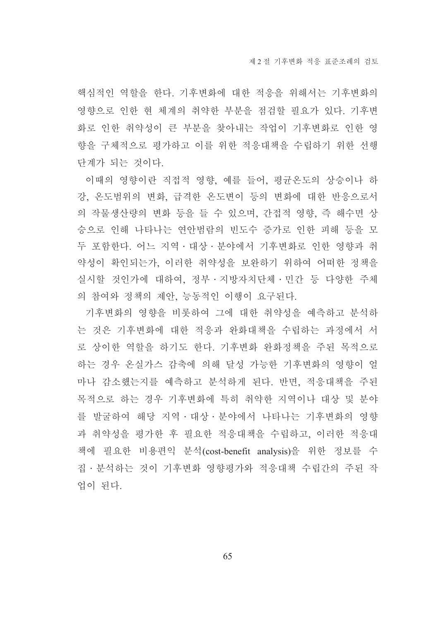핵심적인 역할을 한다. 기후변화에 대한 적응을 위해서는 기후변화의 영향으로 인한 현 체계의 취약한 부분을 점검할 필요가 있다. 기후변 화로 인한 취약성이 큰 부분을 찾아내는 작업이 기후변화로 인한 영 향을 구체적으로 평가하고 이를 위한 적응대책을 수립하기 위한 선행 단계가 되는 것이다.

이때의 영향이란 직접적 영향, 예를 들어, 평균온도의 상승이나 하 강. 온도범위의 변화. 급격한 온도변이 등의 변화에 대한 반응으로서 의 작물생산량의 변화 등을 들 수 있으며, 간접적 영향, 즉 해수면 상 승으로 인해 나타나는 연안범람의 빈도수 증가로 인한 피해 등을 모 두 포함하다. 어느 지역 · 대상 · 분야에서 기후변화로 인한 영향과 취 약성이 확인되는가, 이러한 취약성을 보완하기 위하여 어떠한 정책을 실시할 것인가에 대하여, 정부 · 지방자치단체 · 민간 등 다양한 주체 의 참여와 정책의 제안, 능동적인 이행이 요구된다.

기후변화의 영향을 비롯하여 그에 대한 취약성을 예측하고 분석하 는 것은 기후변화에 대한 적응과 완화대책을 수립하는 과정에서 서 로 상이한 역할을 하기도 한다. 기후변화 완화정책을 주된 목적으로 하는 경우 온실가스 감축에 의해 달성 가능한 기후변화의 영향이 얼 마나 감소했는지를 예측하고 분석하게 된다. 반면, 적응대책을 주된 목적으로 하는 경우 기후변화에 특히 취약한 지역이나 대상 및 분야 를 발굴하여 해당 지역 · 대상 · 분야에서 나타나는 기후변화의 영향 과 취약성을 평가한 후 필요한 적응대책을 수립하고, 이러한 적응대 책에 필요한 비용편익 분석(cost-benefit analysis)을 위한 정보를 수 집·분석하는 것이 기후변화 영향평가와 적응대책 수립간의 주된 작 업이 되다.

65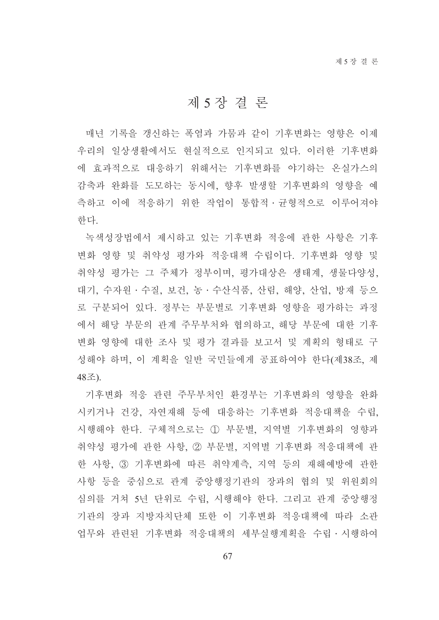# 제 5 장 결 론

매년 기록을 갱신하는 폭염과 가뭄과 같이 기후변화는 영향은 이제 우리의 일상생활에서도 현실적으로 인지되고 있다. 이러한 기후변화 에 효과적으로 대응하기 위해서는 기후변화를 야기하는 온실가스의 감축과 완화를 도모하는 동시에, 향후 발생할 기후변화의 영향을 예 측하고 이에 적응하기 위한 작업이 통합적 규형적으로 이루어져야 한다.

녹색성장법에서 제시하고 있는 기후변화 적응에 관한 사항은 기후 변화 영향 및 취약성 평가와 적응대책 수립이다. 기후변화 영향 및 취약성 평가는 그 주체가 정부이며, 평가대상은 생태계, 생물다양성, 대기, 수자원・수질, 보건, 농・수산식품, 산림, 해양, 산업, 방재 등으 로 구분되어 있다. 정부는 부문별로 기후변화 영향을 평가하는 과정 에서 해당 부문의 관계 주무부처와 협의하고, 해당 부문에 대한 기후 변화 영향에 대한 조사 및 평가 결과를 보고서 및 계획의 형태로 구 성해야 하며, 이 계획을 일반 국민들에게 공표하여야 한다(제38조, 제 48圣)

기후변화 적응 관련 주무부처인 환경부는 기후변화의 영향을 완화 시키거나 건강, 자연재해 등에 대응하는 기후변화 적응대책을 수립, 시행해야 한다. 구체적으로는 ① 부문별, 지역별 기후변화의 영향과 취약성 평가에 관한 사항, ② 부문별, 지역별 기후변화 적응대책에 관 한 사항, 3 기후변화에 따른 취약계측, 지역 등의 재해예방에 관한 사항 등을 중심으로 관계 중앙행정기관의 장과의 협의 및 위원회의 심의를 거쳐 5년 단위로 수립, 시행해야 한다. 그리고 관계 중앙행정 기관의 장과 지방자치단체 또한 이 기후변화 적응대책에 따라 소관 업무와 관련된 기후변화 적응대책의 세부실행계획을 수립 시행하여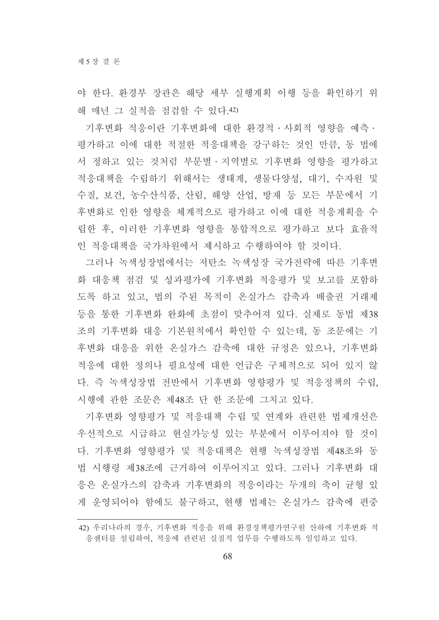야 한다. 환경부 장관은 해당 세부 실행계획 이행 등을 확인하기 위 해 매년 그 실적을 점검할 수 있다.42)

기후변화 적응이란 기후변화에 대한 환경적 · 사회적 영향을 예측 · 평가하고 이에 대한 적절한 적응대책을 강구하는 것인 만큼, 동 법에 서 정하고 있는 것처럼 부문별ㆍ지역별로 기후변화 영향을 평가하고 적응대책을 수립하기 위해서는 생태계, 생물다양성, 대기, 수자원 및 수질, 보건, 농수산식품, 산림, 해양 산업, 방재 등 모든 부문에서 기 후변화로 인한 영향을 체계적으로 평가하고 이에 대한 적응계획을 수 립한 후, 이러한 기후변화 영향을 통합적으로 평가하고 보다 효율적 인 적응대책을 국가차워에서 제시하고 수행하여야 할 것이다.

그러나 녹색성장법에서는 저탄소 녹색성장 국가전략에 따른 기후변 화 대응책 점검 및 성과평가에 기후변화 적응평가 및 보고를 포함하 도록 하고 있고, 법의 주된 목적이 온실가스 감축과 배출권 거래제 등을 통한 기후변화 완화에 초점이 맞추어져 있다. 실제로 동법 제38 조의 기후변화 대응 기본원칙에서 확인할 수 있는데, 동 조문에는 기 후변화 대응을 위한 온실가스 감축에 대한 규정은 있으나, 기후변화 적응에 대한 정의나 필요성에 대한 언급은 구체적으로 되어 있지 않 다. 즉 녹색성장법 전반에서 기후변화 영향평가 및 적응정책의 수립. 시행에 관한 조문은 제48조 단 한 조문에 그치고 있다.

기후변화 영향평가 및 적응대책 수립 및 연계와 관련한 법제개선은 우선적으로 시급하고 현실가능성 있는 부분에서 이루어져야 할 것이 다. 기후변화 영향평가 및 적응대책은 현행 녹색성장법 제48조와 동 법 시행령 제38조에 근거하여 이루어지고 있다. 그러나 기후변화 대 응은 온실가스의 감축과 기후변화의 적응이라는 두개의 축이 균형 있 게 운영되어야 함에도 불구하고, 현행 법제는 온실가스 감축에 편중

<sup>42)</sup> 우리나라의 경우, 기후변화 적응을 위해 환경정책평가연구원 산하에 기후변화 적 응센터를 설립하여, 적응에 관련된 실질적 업무를 수행하도록 일임하고 있다.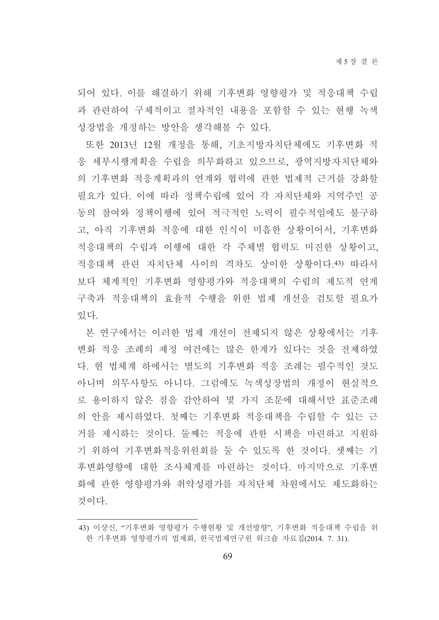되어 있다. 이를 해결하기 위해 기후변화 영향평가 및 적응대책 수립 과 관련하여 구체적이고 절차적인 내용을 포함할 수 있는 현행 녹색 성장법을 개정하는 방안을 생각해볼 수 있다.

또한 2013년 12월 개정을 통해, 기초지방자치단체에도 기후변화 적 응 세부시행계획을 수립을 의무화하고 있으므로, 광역지방자치단체와 의 기후변화 적응계획과의 연계와 협력에 관한 법제적 근거를 강화할 필요가 있다. 이에 따라 정책수립에 있어 각 자치단체와 지역주민 공 동의 참여와 정책이행에 있어 적극적인 노력이 필수적임에도 불구하 고, 아직 기후변화 적응에 대한 인식이 미흡한 상황이어서, 기후변화 적응대책의 수립과 이행에 대한 각 주체별 협력도 미진한 상황이고, 적응대책 관련 자치단체 사이의 격차도 상이한 상황이다.43) 따라서 보다 체계적인 기후변화 영향평가와 적응대책의 수립의 제도적 연계 구축과 적응대책의 효율적 수행을 위한 법제 개선을 검토할 필요가 있다.

본 연구에서는 이러한 법제 개선이 전제되지 않은 상황에서는 기후 변화 적응 조례의 제정 여건에는 많은 한계가 있다는 것을 전제하였 다. 현 법체계 하에서는 별도의 기후변화 적응 조례는 필수적인 것도 아니며 의무사항도 아니다. 그럼에도 녹색성장법의 개정이 현실적으 로 용이하지 않은 점을 감안하여 몇 가지 조문에 대해서만 표준조례 의 안을 제시하였다. 첫째는 기후변화 적응대책을 수립할 수 있는 근 거를 제시하는 것이다. 둘째는 적응에 관한 시책을 마련하고 지원하 기 위하여 기후변화적응위워회를 둘 수 있도록 한 것이다. 셋째는 기 후변화영향에 대한 조사체계를 마련하는 것이다. 마지막으로 기후변 화에 관한 영향평가와 취약성평가를 자치단체 차원에서도 제도화하는 것이다.

<sup>43)</sup> 이상신, "기후변화 영향평가 수행현황 및 개선방향", 기후변화 적응대책 수립을 위 한 기후변화 영향평가의 법제화, 한국법제연구원 워크숍 자료집(2014. 7. 31).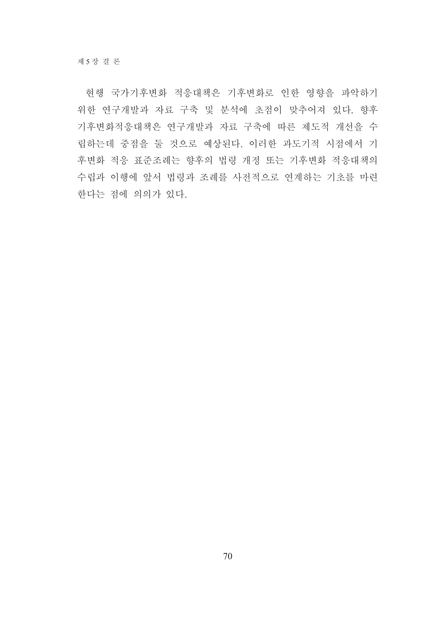현행 국가기후변화 적응대책은 기후변화로 인한 영향을 파악하기 위한 연구개발과 자료 구축 및 분석에 초점이 맞추어져 있다. 향후 기후변화적응대책은 연구개발과 자료 구축에 따른 제도적 개선을 수 립하는데 중점을 둘 것으로 예상된다. 이러한 과도기적 시점에서 기 후변화 적응 표준조례는 향후의 법령 개정 또는 기후변화 적응대책의 수립과 이행에 앞서 법령과 조례를 사전적으로 연계하는 기초를 마련 한다는 점에 의의가 있다.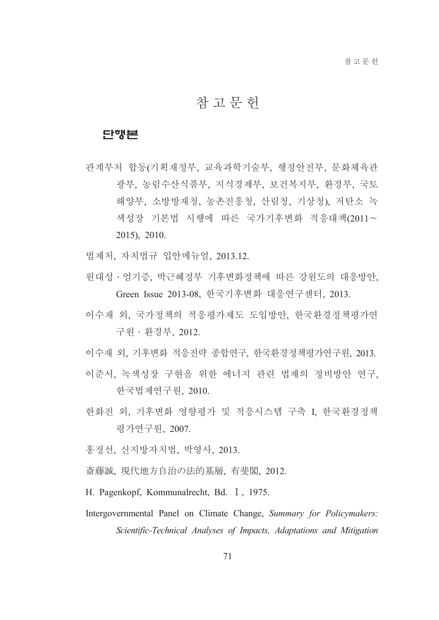# 참 고 무 헌

#### 단행본

- 관계부처 합동(기획재정부, 교육과학기술부, 행정안전부, 문화체육관 광부, 농림수산식품부, 지식경제부, 보건복지부, 환경부, 국토 해양부, 소방방재청, 농촌진흥청, 산림청, 기상청), 저탄소 녹 색성장 기본법 시행에 따른 국가기후변화 적응대책(2011~ 2015), 2010.
- 법제처, 자치법규 입안메뉴얼, 2013.12.
- 워대성 · 엄기증, 박근혜정부 기후변화정책에 따른 강원도의 대응방안, Green Issue 2013-08, 한국기후변화 대응연구센터, 2013.
- 이수재 외, 국가정책의 적응평가제도 도입방안, 한국환경정책평가연 구워 · 화경부, 2012.
- 이수재 외, 기후변화 적응전략 종합연구, 한국환경정책평가연구원, 2013.
- 이준서, 녹색성장 구현을 위한 에너지 관련 법제의 정비방안 연구, 한국법제연구원, 2010.
- 한화진 외. 기후변화 영향평가 및 적응시스템 구축 I. 한국화경정책 평가연구원, 2007.
- 홍정선, 신지방자치법, 박영사, 2013.
- 斎藤誠、現代地方自治の法的基層、有斐閣、2012.
- H. Pagenkopf, Kommunalrecht, Bd. I, 1975.
- Intergovernmental Panel on Climate Change, Summary for Policymakers: Scientific-Technical Analyses of Impacts, Adaptations and Mitigation